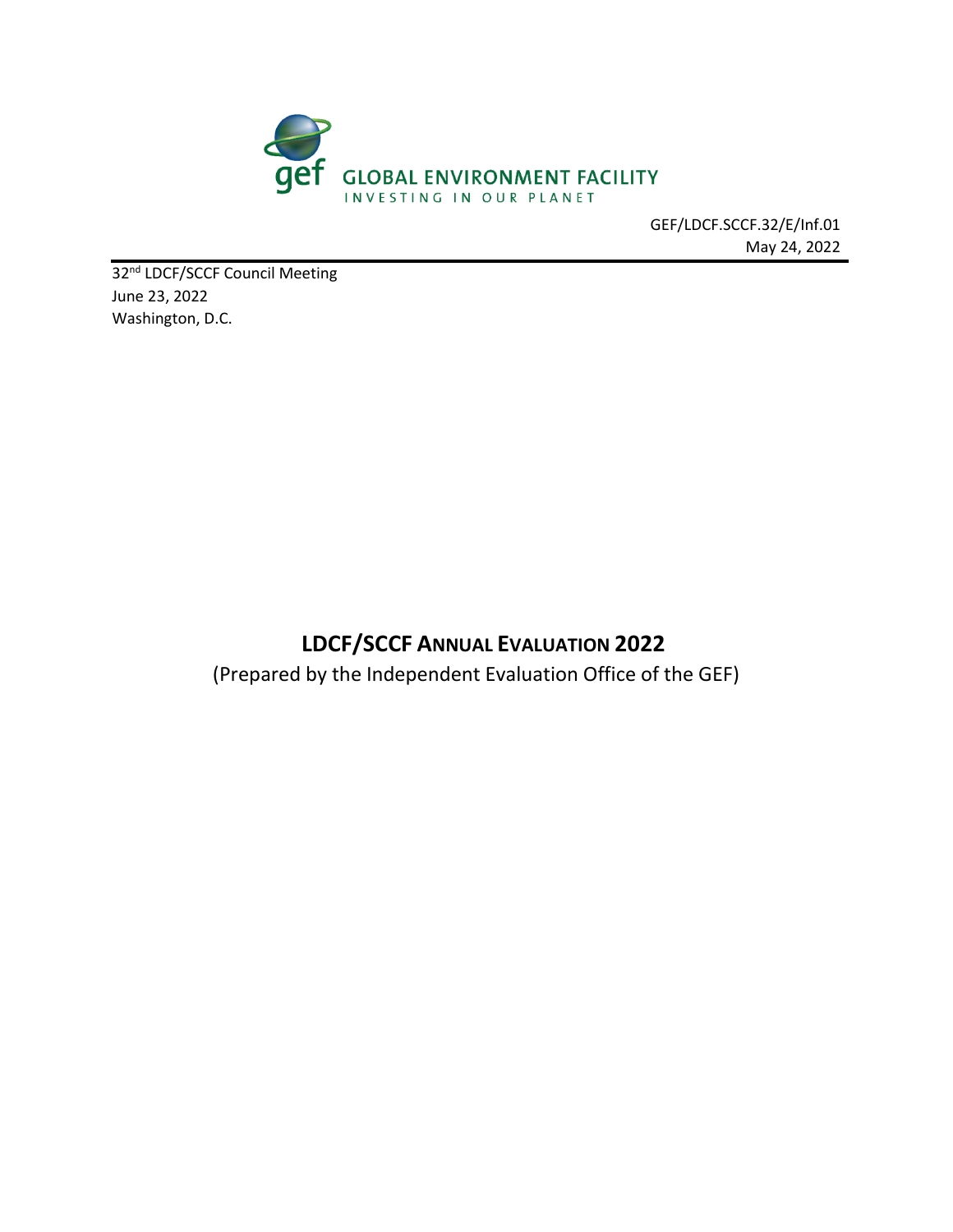

GEF/LDCF.SCCF.32/E/Inf.01 May 24, 2022

32<sup>nd</sup> LDCF/SCCF Council Meeting June 23, 2022 Washington, D.C.

# **LDCF/SCCF ANNUAL EVALUATION 2022**

(Prepared by the Independent Evaluation Office of the GEF)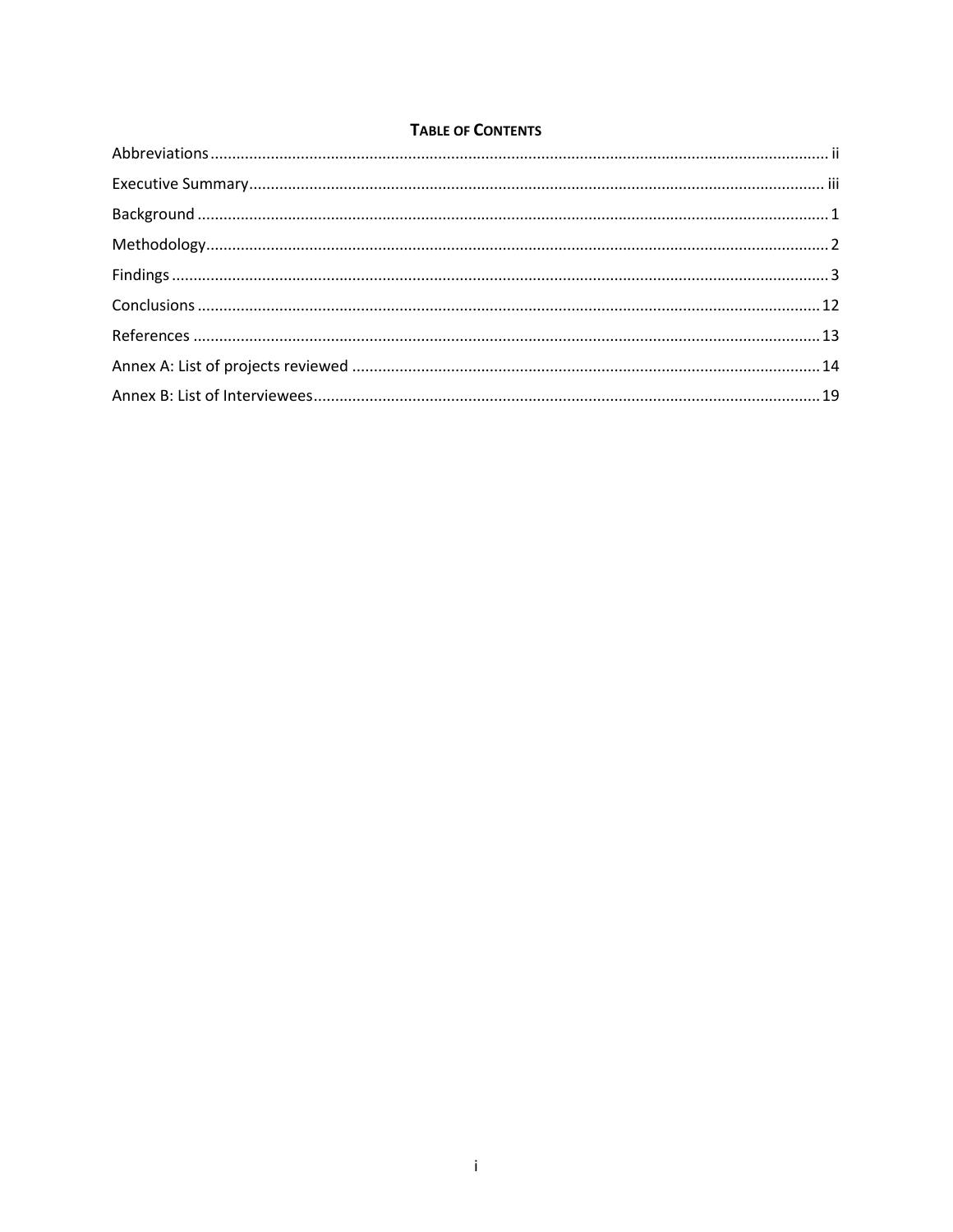### **TABLE OF CONTENTS**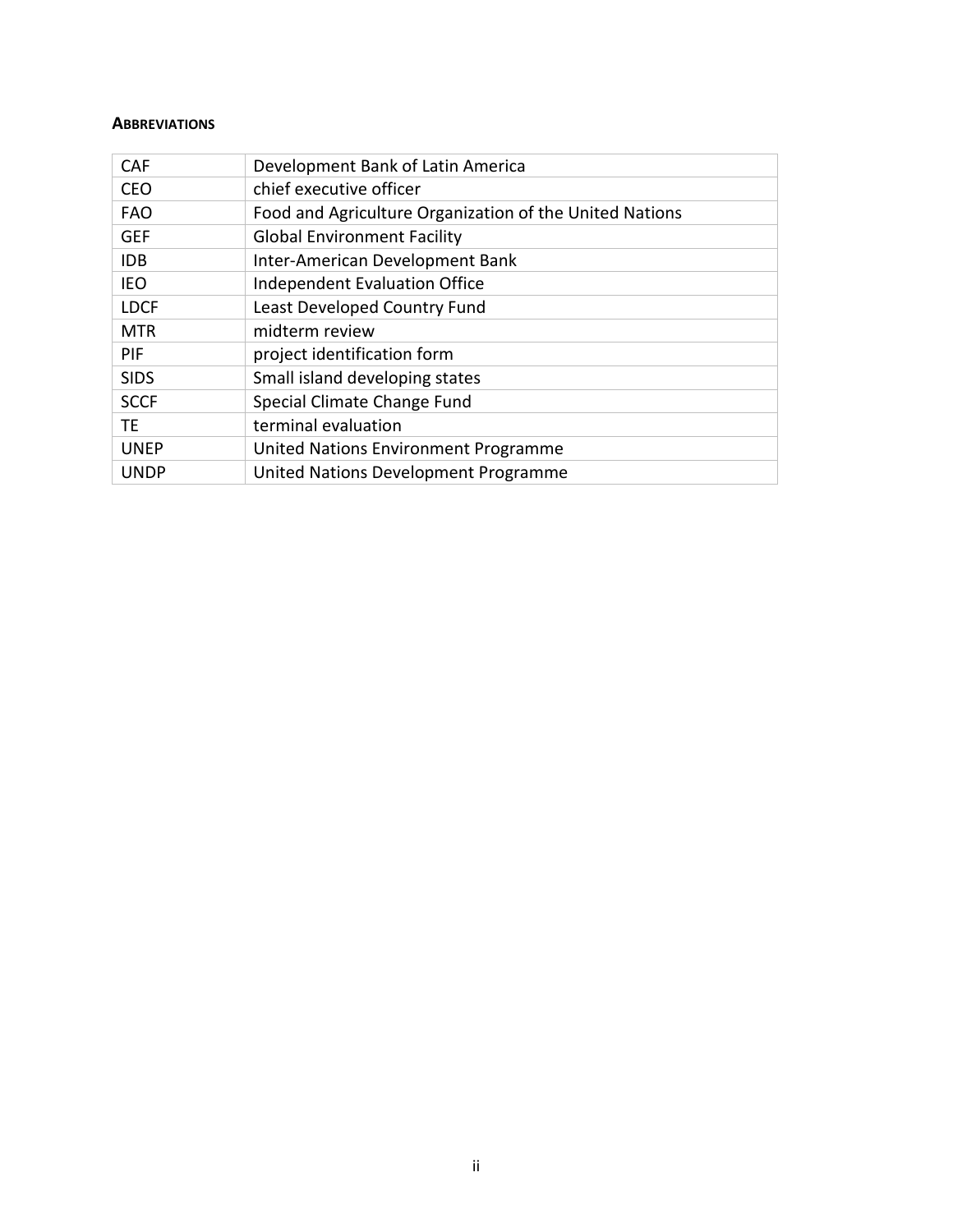#### <span id="page-2-0"></span>**ABBREVIATIONS**

| CAF         | Development Bank of Latin America                       |
|-------------|---------------------------------------------------------|
| <b>CEO</b>  | chief executive officer                                 |
| <b>FAO</b>  | Food and Agriculture Organization of the United Nations |
| <b>GEF</b>  | <b>Global Environment Facility</b>                      |
| <b>IDB</b>  | Inter-American Development Bank                         |
| IEO         | <b>Independent Evaluation Office</b>                    |
| <b>LDCF</b> | Least Developed Country Fund                            |
| <b>MTR</b>  | midterm review                                          |
| PIF         | project identification form                             |
| <b>SIDS</b> | Small island developing states                          |
| <b>SCCF</b> | Special Climate Change Fund                             |
| TE.         | terminal evaluation                                     |
| <b>UNEP</b> | United Nations Environment Programme                    |
| <b>UNDP</b> | United Nations Development Programme                    |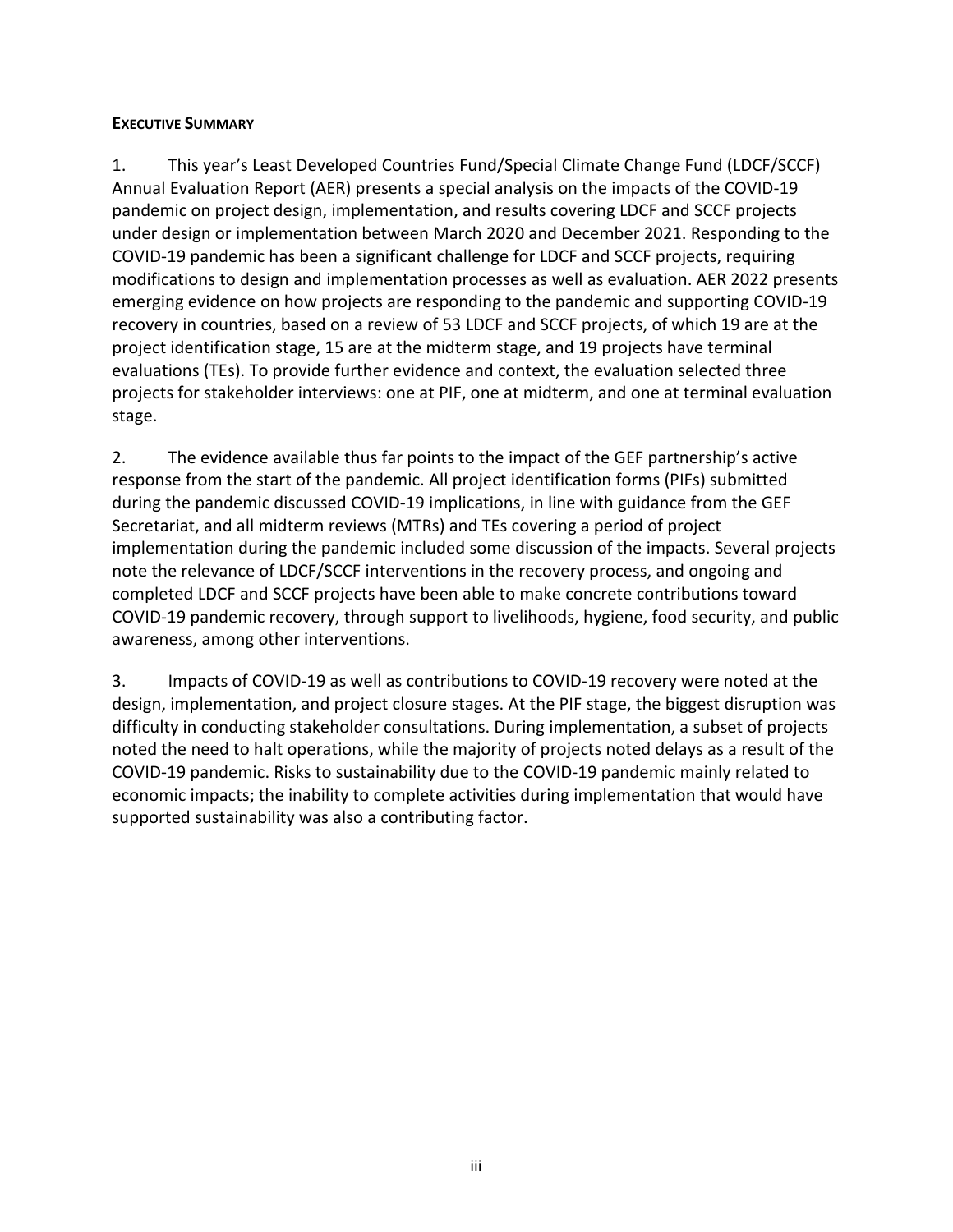### <span id="page-3-0"></span>**EXECUTIVE SUMMARY**

1. This year's Least Developed Countries Fund/Special Climate Change Fund (LDCF/SCCF) Annual Evaluation Report (AER) presents a special analysis on the impacts of the COVID-19 pandemic on project design, implementation, and results covering LDCF and SCCF projects under design or implementation between March 2020 and December 2021. Responding to the COVID-19 pandemic has been a significant challenge for LDCF and SCCF projects, requiring modifications to design and implementation processes as well as evaluation. AER 2022 presents emerging evidence on how projects are responding to the pandemic and supporting COVID-19 recovery in countries, based on a review of 53 LDCF and SCCF projects, of which 19 are at the project identification stage, 15 are at the midterm stage, and 19 projects have terminal evaluations (TEs). To provide further evidence and context, the evaluation selected three projects for stakeholder interviews: one at PIF, one at midterm, and one at terminal evaluation stage.

2. The evidence available thus far points to the impact of the GEF partnership's active response from the start of the pandemic. All project identification forms (PIFs) submitted during the pandemic discussed COVID-19 implications, in line with guidance from the GEF Secretariat, and all midterm reviews (MTRs) and TEs covering a period of project implementation during the pandemic included some discussion of the impacts. Several projects note the relevance of LDCF/SCCF interventions in the recovery process, and ongoing and completed LDCF and SCCF projects have been able to make concrete contributions toward COVID-19 pandemic recovery, through support to livelihoods, hygiene, food security, and public awareness, among other interventions.

3. Impacts of COVID-19 as well as contributions to COVID-19 recovery were noted at the design, implementation, and project closure stages. At the PIF stage, the biggest disruption was difficulty in conducting stakeholder consultations. During implementation, a subset of projects noted the need to halt operations, while the majority of projects noted delays as a result of the COVID-19 pandemic. Risks to sustainability due to the COVID-19 pandemic mainly related to economic impacts; the inability to complete activities during implementation that would have supported sustainability was also a contributing factor.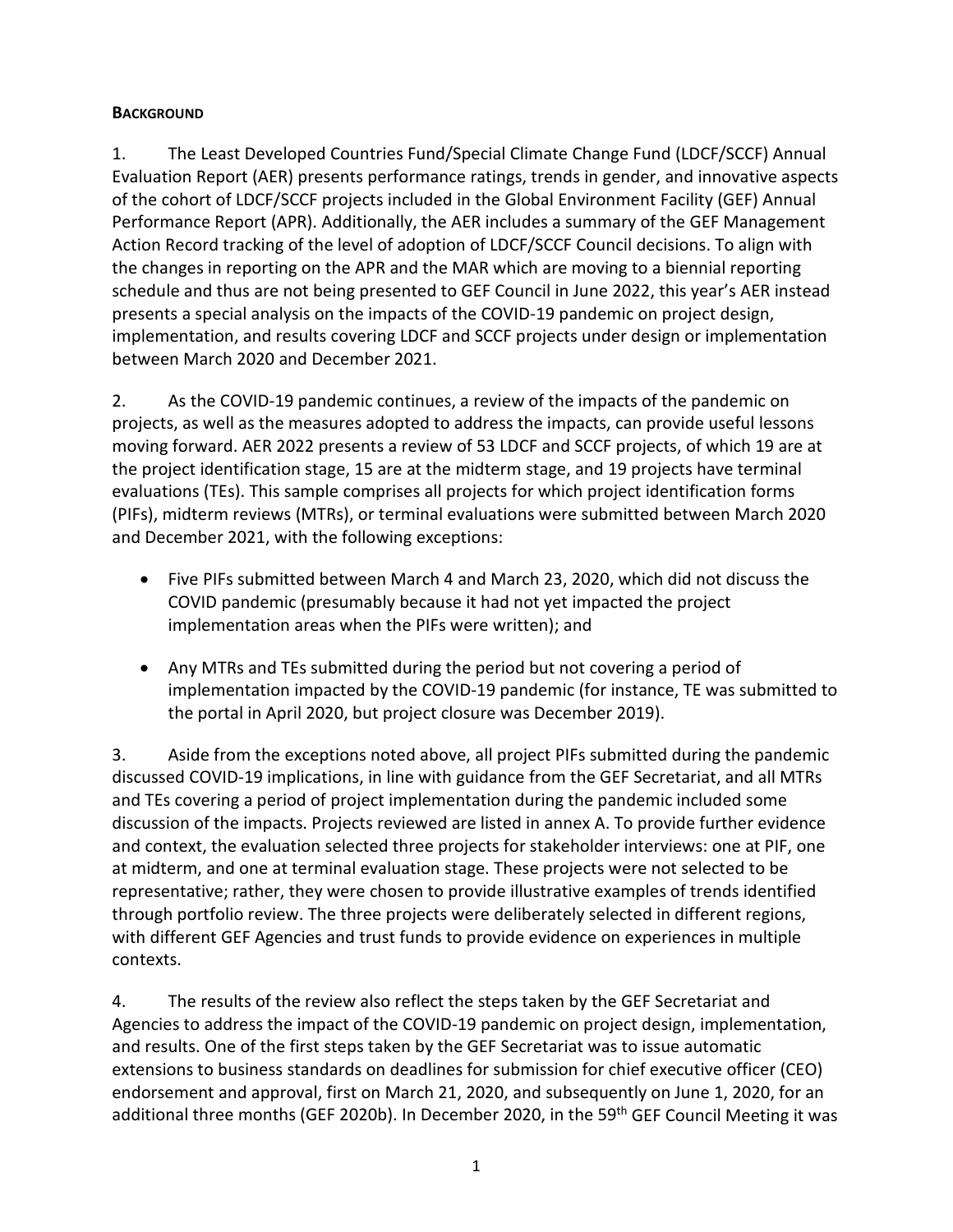### <span id="page-4-0"></span>**BACKGROUND**

1. The Least Developed Countries Fund/Special Climate Change Fund (LDCF/SCCF) Annual Evaluation Report (AER) presents performance ratings, trends in gender, and innovative aspects of the cohort of LDCF/SCCF projects included in the Global Environment Facility (GEF) Annual Performance Report (APR). Additionally, the AER includes a summary of the GEF Management Action Record tracking of the level of adoption of LDCF/SCCF Council decisions. To align with the changes in reporting on the APR and the MAR which are moving to a biennial reporting schedule and thus are not being presented to GEF Council in June 2022, this year's AER instead presents a special analysis on the impacts of the COVID-19 pandemic on project design, implementation, and results covering LDCF and SCCF projects under design or implementation between March 2020 and December 2021.

2. As the COVID-19 pandemic continues, a review of the impacts of the pandemic on projects, as well as the measures adopted to address the impacts, can provide useful lessons moving forward. AER 2022 presents a review of 53 LDCF and SCCF projects, of which 19 are at the project identification stage, 15 are at the midterm stage, and 19 projects have terminal evaluations (TEs). This sample comprises all projects for which project identification forms (PIFs), midterm reviews (MTRs), or terminal evaluations were submitted between March 2020 and December 2021, with the following exceptions:

- Five PIFs submitted between March 4 and March 23, 2020, which did not discuss the COVID pandemic (presumably because it had not yet impacted the project implementation areas when the PIFs were written); and
- Any MTRs and TEs submitted during the period but not covering a period of implementation impacted by the COVID-19 pandemic (for instance, TE was submitted to the portal in April 2020, but project closure was December 2019).

3. Aside from the exceptions noted above, all project PIFs submitted during the pandemic discussed COVID-19 implications, in line with guidance from the GEF Secretariat, and all MTRs and TEs covering a period of project implementation during the pandemic included some discussion of the impacts. Projects reviewed are listed in annex A. To provide further evidence and context, the evaluation selected three projects for stakeholder interviews: one at PIF, one at midterm, and one at terminal evaluation stage. These projects were not selected to be representative; rather, they were chosen to provide illustrative examples of trends identified through portfolio review. The three projects were deliberately selected in different regions, with different GEF Agencies and trust funds to provide evidence on experiences in multiple contexts.

4. The results of the review also reflect the steps taken by the GEF Secretariat and Agencies to address the impact of the COVID-19 pandemic on project design, implementation, and results. One of the first steps taken by the GEF Secretariat was to issue automatic extensions to business standards on deadlines for submission for chief executive officer (CEO) endorsement and approval, first on March 21, 2020, and subsequently on June 1, 2020, for an additional three months (GEF 2020b). In December 2020, in the 59<sup>th</sup> GEF Council Meeting it was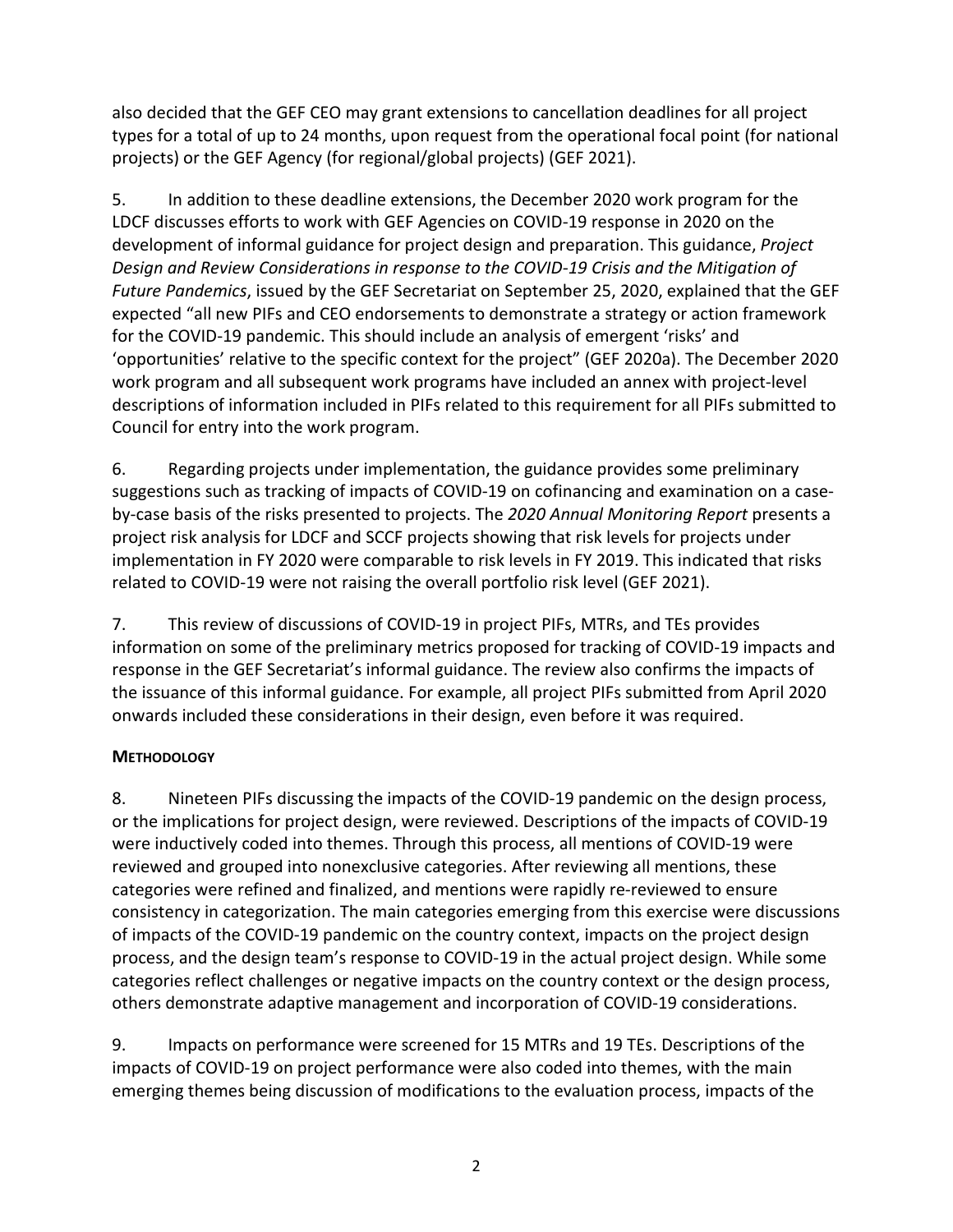also decided that the GEF CEO may grant extensions to cancellation deadlines for all project types for a total of up to 24 months, upon request from the operational focal point (for national projects) or the GEF Agency (for regional/global projects) (GEF 2021).

5. In addition to these deadline extensions, the December 2020 work program for the LDCF discusses efforts to work with GEF Agencies on COVID-19 response in 2020 on the development of informal guidance for project design and preparation. This guidance, *Project Design and Review Considerations in response to the COVID-19 Crisis and the Mitigation of Future Pandemics*, issued by the GEF Secretariat on September 25, 2020, explained that the GEF expected "all new PIFs and CEO endorsements to demonstrate a strategy or action framework for the COVID-19 pandemic. This should include an analysis of emergent 'risks' and 'opportunities' relative to the specific context for the project" (GEF 2020a). The December 2020 work program and all subsequent work programs have included an annex with project-level descriptions of information included in PIFs related to this requirement for all PIFs submitted to Council for entry into the work program.

6. Regarding projects under implementation, the guidance provides some preliminary suggestions such as tracking of impacts of COVID-19 on cofinancing and examination on a caseby-case basis of the risks presented to projects. The *2020 Annual Monitoring Report* presents a project risk analysis for LDCF and SCCF projects showing that risk levels for projects under implementation in FY 2020 were comparable to risk levels in FY 2019. This indicated that risks related to COVID-19 were not raising the overall portfolio risk level (GEF 2021).

7. This review of discussions of COVID-19 in project PIFs, MTRs, and TEs provides information on some of the preliminary metrics proposed for tracking of COVID-19 impacts and response in the GEF Secretariat's informal guidance. The review also confirms the impacts of the issuance of this informal guidance. For example, all project PIFs submitted from April 2020 onwards included these considerations in their design, even before it was required.

# <span id="page-5-0"></span>**METHODOLOGY**

8. Nineteen PIFs discussing the impacts of the COVID-19 pandemic on the design process, or the implications for project design, were reviewed. Descriptions of the impacts of COVID-19 were inductively coded into themes. Through this process, all mentions of COVID-19 were reviewed and grouped into nonexclusive categories. After reviewing all mentions, these categories were refined and finalized, and mentions were rapidly re-reviewed to ensure consistency in categorization. The main categories emerging from this exercise were discussions of impacts of the COVID-19 pandemic on the country context, impacts on the project design process, and the design team's response to COVID-19 in the actual project design. While some categories reflect challenges or negative impacts on the country context or the design process, others demonstrate adaptive management and incorporation of COVID-19 considerations.

9. Impacts on performance were screened for 15 MTRs and 19 TEs. Descriptions of the impacts of COVID-19 on project performance were also coded into themes, with the main emerging themes being discussion of modifications to the evaluation process, impacts of the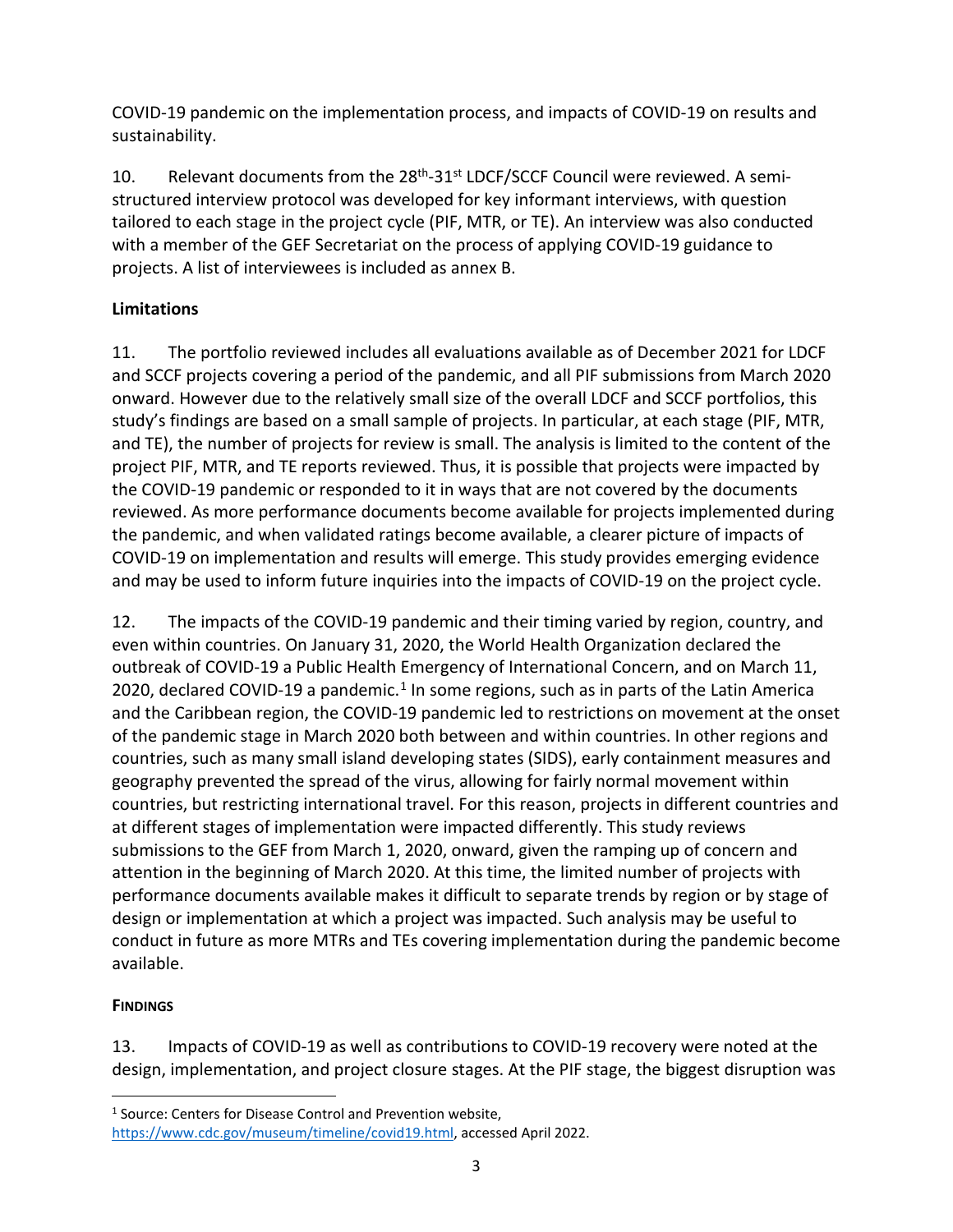COVID-19 pandemic on the implementation process, and impacts of COVID-19 on results and sustainability.

10. Relevant documents from the 28<sup>th</sup>-31<sup>st</sup> LDCF/SCCF Council were reviewed. A semistructured interview protocol was developed for key informant interviews, with question tailored to each stage in the project cycle (PIF, MTR, or TE). An interview was also conducted with a member of the GEF Secretariat on the process of applying COVID-19 guidance to projects. A list of interviewees is included as annex B.

# **Limitations**

11. The portfolio reviewed includes all evaluations available as of December 2021 for LDCF and SCCF projects covering a period of the pandemic, and all PIF submissions from March 2020 onward. However due to the relatively small size of the overall LDCF and SCCF portfolios, this study's findings are based on a small sample of projects. In particular, at each stage (PIF, MTR, and TE), the number of projects for review is small. The analysis is limited to the content of the project PIF, MTR, and TE reports reviewed. Thus, it is possible that projects were impacted by the COVID-19 pandemic or responded to it in ways that are not covered by the documents reviewed. As more performance documents become available for projects implemented during the pandemic, and when validated ratings become available, a clearer picture of impacts of COVID-19 on implementation and results will emerge. This study provides emerging evidence and may be used to inform future inquiries into the impacts of COVID-19 on the project cycle.

12. The impacts of the COVID-19 pandemic and their timing varied by region, country, and even within countries. On January 31, 2020, the World Health Organization declared the outbreak of COVID-19 a Public Health Emergency of International Concern, and on March 11, 2020, declared COVID-[1](#page-6-1)9 a pandemic.<sup>1</sup> In some regions, such as in parts of the Latin America and the Caribbean region, the COVID-19 pandemic led to restrictions on movement at the onset of the pandemic stage in March 2020 both between and within countries. In other regions and countries, such as many small island developing states (SIDS), early containment measures and geography prevented the spread of the virus, allowing for fairly normal movement within countries, but restricting international travel. For this reason, projects in different countries and at different stages of implementation were impacted differently. This study reviews submissions to the GEF from March 1, 2020, onward, given the ramping up of concern and attention in the beginning of March 2020. At this time, the limited number of projects with performance documents available makes it difficult to separate trends by region or by stage of design or implementation at which a project was impacted. Such analysis may be useful to conduct in future as more MTRs and TEs covering implementation during the pandemic become available.

# <span id="page-6-0"></span>**FINDINGS**

13. Impacts of COVID-19 as well as contributions to COVID-19 recovery were noted at the design, implementation, and project closure stages. At the PIF stage, the biggest disruption was

<span id="page-6-1"></span><sup>&</sup>lt;sup>1</sup> Source: Centers for Disease Control and Prevention website,

[https://www.cdc.gov/museum/timeline/covid19.html,](https://www.cdc.gov/museum/timeline/covid19.html) accessed April 2022.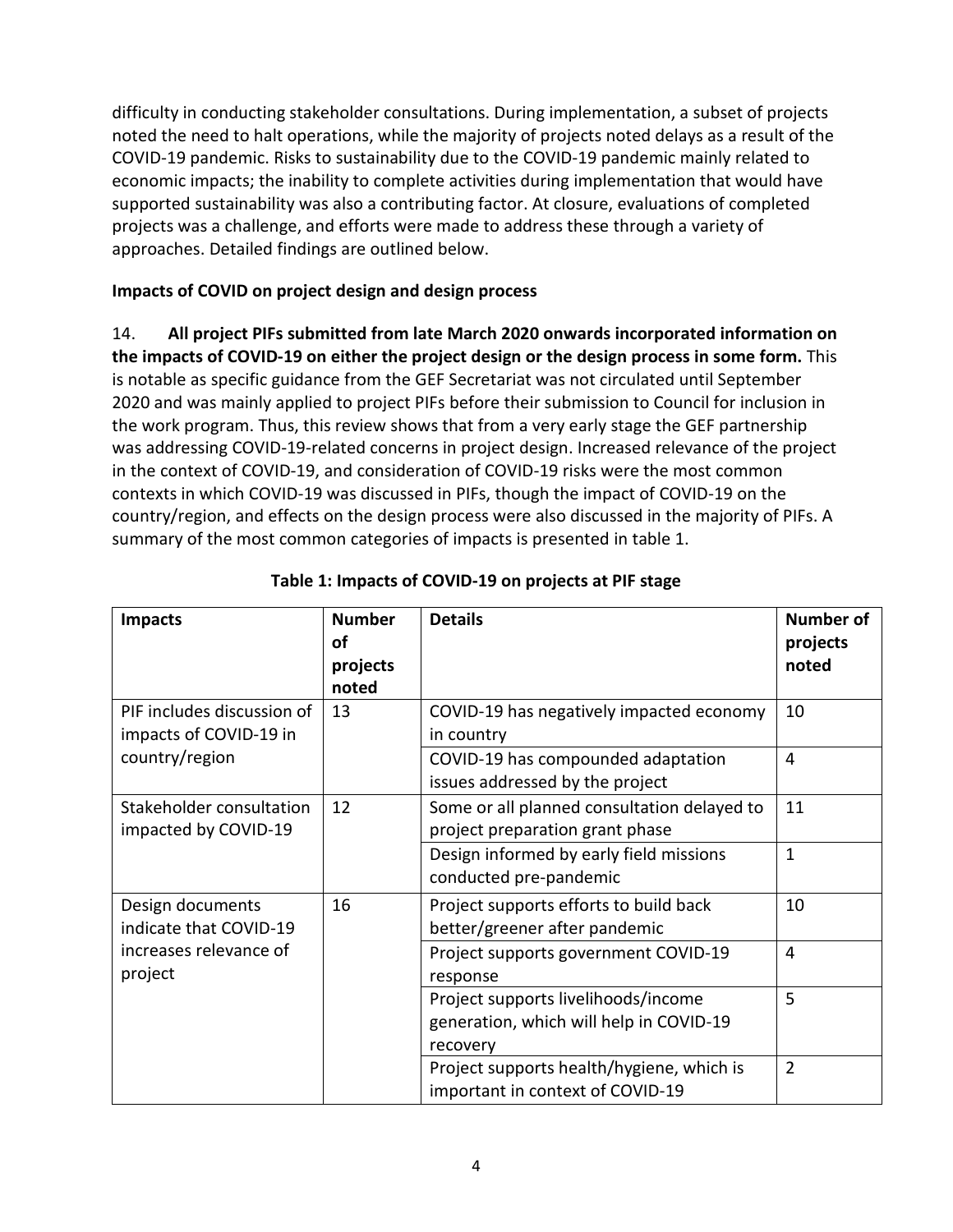difficulty in conducting stakeholder consultations. During implementation, a subset of projects noted the need to halt operations, while the majority of projects noted delays as a result of the COVID-19 pandemic. Risks to sustainability due to the COVID-19 pandemic mainly related to economic impacts; the inability to complete activities during implementation that would have supported sustainability was also a contributing factor. At closure, evaluations of completed projects was a challenge, and efforts were made to address these through a variety of approaches. Detailed findings are outlined below.

### **Impacts of COVID on project design and design process**

14. **All project PIFs submitted from late March 2020 onwards incorporated information on the impacts of COVID-19 on either the project design or the design process in some form.** This is notable as specific guidance from the GEF Secretariat was not circulated until September 2020 and was mainly applied to project PIFs before their submission to Council for inclusion in the work program. Thus, this review shows that from a very early stage the GEF partnership was addressing COVID-19-related concerns in project design. Increased relevance of the project in the context of COVID-19, and consideration of COVID-19 risks were the most common contexts in which COVID-19 was discussed in PIFs, though the impact of COVID-19 on the country/region, and effects on the design process were also discussed in the majority of PIFs. A summary of the most common categories of impacts is presented in table 1.

| <b>Impacts</b>                                       | <b>Number</b><br>οf<br>projects<br>noted | <b>Details</b>                                                                             | <b>Number of</b><br>projects<br>noted |
|------------------------------------------------------|------------------------------------------|--------------------------------------------------------------------------------------------|---------------------------------------|
| PIF includes discussion of<br>impacts of COVID-19 in | 13                                       | COVID-19 has negatively impacted economy<br>in country                                     | 10                                    |
| country/region                                       |                                          | COVID-19 has compounded adaptation<br>issues addressed by the project                      | 4                                     |
| Stakeholder consultation<br>impacted by COVID-19     | 12                                       | Some or all planned consultation delayed to<br>project preparation grant phase             | 11                                    |
|                                                      |                                          | Design informed by early field missions<br>conducted pre-pandemic                          | $\mathbf{1}$                          |
| Design documents<br>indicate that COVID-19           | 16                                       | Project supports efforts to build back<br>better/greener after pandemic                    | 10                                    |
| increases relevance of<br>project                    |                                          | Project supports government COVID-19<br>response                                           | 4                                     |
|                                                      |                                          | Project supports livelihoods/income<br>generation, which will help in COVID-19<br>recovery | 5                                     |
|                                                      |                                          | Project supports health/hygiene, which is<br>important in context of COVID-19              | $\overline{2}$                        |

### **Table 1: Impacts of COVID-19 on projects at PIF stage**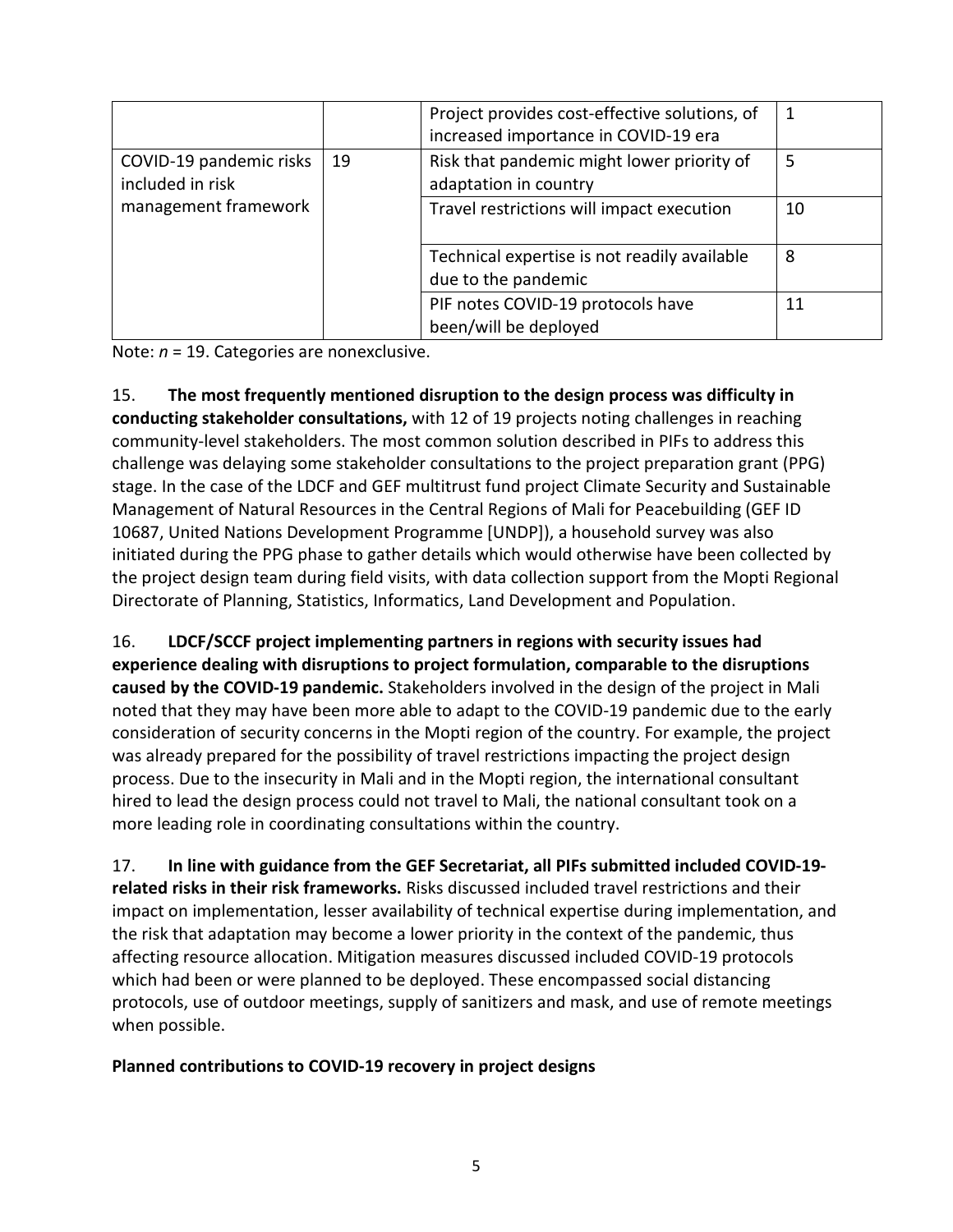|                                             |    | Project provides cost-effective solutions, of<br>increased importance in COVID-19 era | 1  |
|---------------------------------------------|----|---------------------------------------------------------------------------------------|----|
| COVID-19 pandemic risks<br>included in risk | 19 | Risk that pandemic might lower priority of<br>adaptation in country                   | 5  |
| management framework                        |    | Travel restrictions will impact execution                                             | 10 |
|                                             |    | Technical expertise is not readily available<br>due to the pandemic                   | 8  |
|                                             |    | PIF notes COVID-19 protocols have<br>been/will be deployed                            | 11 |

Note: *n* = 19. Categories are nonexclusive.

15. **The most frequently mentioned disruption to the design process was difficulty in conducting stakeholder consultations,** with 12 of 19 projects noting challenges in reaching community-level stakeholders. The most common solution described in PIFs to address this challenge was delaying some stakeholder consultations to the project preparation grant (PPG) stage. In the case of the LDCF and GEF multitrust fund project Climate Security and Sustainable Management of Natural Resources in the Central Regions of Mali for Peacebuilding (GEF ID 10687, United Nations Development Programme [UNDP]), a household survey was also initiated during the PPG phase to gather details which would otherwise have been collected by the project design team during field visits, with data collection support from the Mopti Regional Directorate of Planning, Statistics, Informatics, Land Development and Population.

16. **LDCF/SCCF project implementing partners in regions with security issues had experience dealing with disruptions to project formulation, comparable to the disruptions caused by the COVID-19 pandemic.** Stakeholders involved in the design of the project in Mali noted that they may have been more able to adapt to the COVID-19 pandemic due to the early consideration of security concerns in the Mopti region of the country. For example, the project was already prepared for the possibility of travel restrictions impacting the project design process. Due to the insecurity in Mali and in the Mopti region, the international consultant hired to lead the design process could not travel to Mali, the national consultant took on a more leading role in coordinating consultations within the country.

17. **In line with guidance from the GEF Secretariat, all PIFs submitted included COVID-19 related risks in their risk frameworks.** Risks discussed included travel restrictions and their impact on implementation, lesser availability of technical expertise during implementation, and the risk that adaptation may become a lower priority in the context of the pandemic, thus affecting resource allocation. Mitigation measures discussed included COVID-19 protocols which had been or were planned to be deployed. These encompassed social distancing protocols, use of outdoor meetings, supply of sanitizers and mask, and use of remote meetings when possible.

# **Planned contributions to COVID-19 recovery in project designs**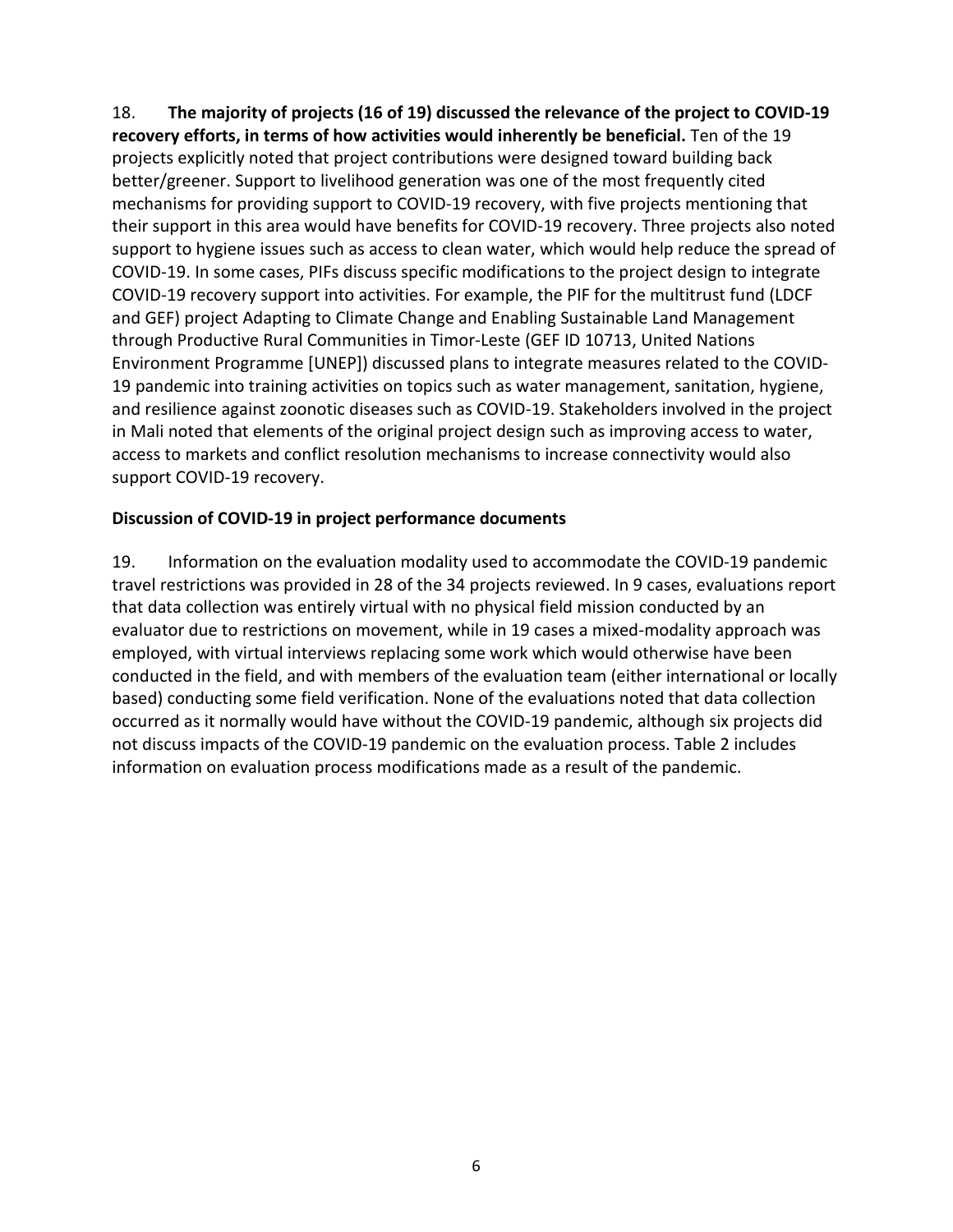18. **The majority of projects (16 of 19) discussed the relevance of the project to COVID-19 recovery efforts, in terms of how activities would inherently be beneficial.** Ten of the 19 projects explicitly noted that project contributions were designed toward building back better/greener. Support to livelihood generation was one of the most frequently cited mechanisms for providing support to COVID-19 recovery, with five projects mentioning that their support in this area would have benefits for COVID-19 recovery. Three projects also noted support to hygiene issues such as access to clean water, which would help reduce the spread of COVID-19. In some cases, PIFs discuss specific modifications to the project design to integrate COVID-19 recovery support into activities. For example, the PIF for the multitrust fund (LDCF and GEF) project Adapting to Climate Change and Enabling Sustainable Land Management through Productive Rural Communities in Timor-Leste (GEF ID 10713, United Nations Environment Programme [UNEP]) discussed plans to integrate measures related to the COVID-19 pandemic into training activities on topics such as water management, sanitation, hygiene, and resilience against zoonotic diseases such as COVID-19. Stakeholders involved in the project in Mali noted that elements of the original project design such as improving access to water, access to markets and conflict resolution mechanisms to increase connectivity would also support COVID-19 recovery.

### **Discussion of COVID-19 in project performance documents**

19. Information on the evaluation modality used to accommodate the COVID-19 pandemic travel restrictions was provided in 28 of the 34 projects reviewed. In 9 cases, evaluations report that data collection was entirely virtual with no physical field mission conducted by an evaluator due to restrictions on movement, while in 19 cases a mixed-modality approach was employed, with virtual interviews replacing some work which would otherwise have been conducted in the field, and with members of the evaluation team (either international or locally based) conducting some field verification. None of the evaluations noted that data collection occurred as it normally would have without the COVID-19 pandemic, although six projects did not discuss impacts of the COVID-19 pandemic on the evaluation process. Table 2 includes information on evaluation process modifications made as a result of the pandemic.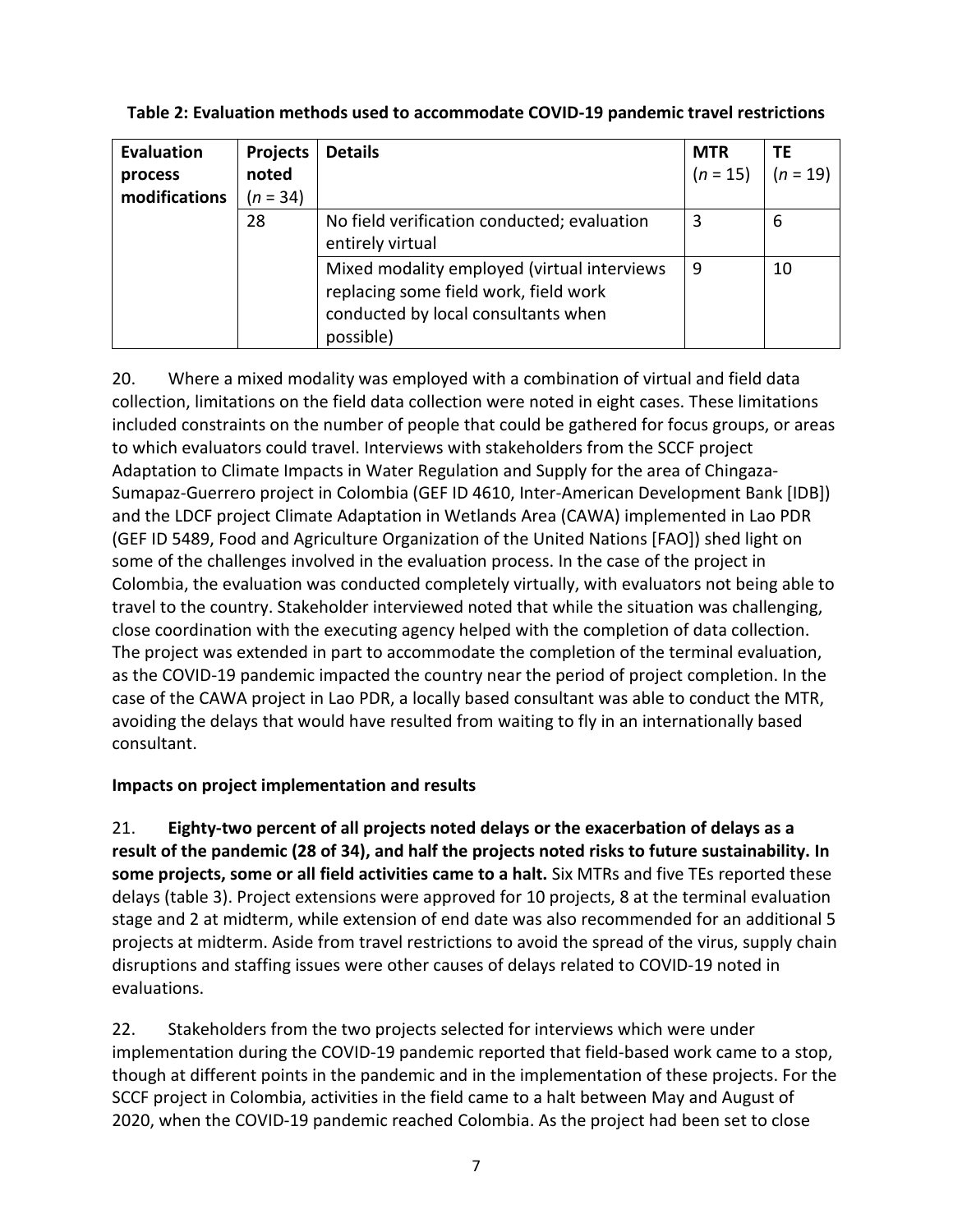| <b>Evaluation</b><br>process<br>modifications | <b>Projects</b><br>noted<br>$(n = 34)$ | <b>Details</b>                                                                                                                           | <b>MTR</b><br>$(n = 15)$ | <b>TE</b><br>$(n = 19)$ |
|-----------------------------------------------|----------------------------------------|------------------------------------------------------------------------------------------------------------------------------------------|--------------------------|-------------------------|
|                                               | 28                                     | No field verification conducted; evaluation<br>entirely virtual                                                                          | 3                        | 6                       |
|                                               |                                        | Mixed modality employed (virtual interviews<br>replacing some field work, field work<br>conducted by local consultants when<br>possible) | 9                        | 10                      |

| Table 2: Evaluation methods used to accommodate COVID-19 pandemic travel restrictions |  |
|---------------------------------------------------------------------------------------|--|
|---------------------------------------------------------------------------------------|--|

20. Where a mixed modality was employed with a combination of virtual and field data collection, limitations on the field data collection were noted in eight cases. These limitations included constraints on the number of people that could be gathered for focus groups, or areas to which evaluators could travel. Interviews with stakeholders from the SCCF project Adaptation to Climate Impacts in Water Regulation and Supply for the area of Chingaza-Sumapaz-Guerrero project in Colombia (GEF ID 4610, Inter-American Development Bank [IDB]) and the LDCF project Climate Adaptation in Wetlands Area (CAWA) implemented in Lao PDR (GEF ID 5489, Food and Agriculture Organization of the United Nations [FAO]) shed light on some of the challenges involved in the evaluation process. In the case of the project in Colombia, the evaluation was conducted completely virtually, with evaluators not being able to travel to the country. Stakeholder interviewed noted that while the situation was challenging, close coordination with the executing agency helped with the completion of data collection. The project was extended in part to accommodate the completion of the terminal evaluation, as the COVID-19 pandemic impacted the country near the period of project completion. In the case of the CAWA project in Lao PDR, a locally based consultant was able to conduct the MTR, avoiding the delays that would have resulted from waiting to fly in an internationally based consultant.

# **Impacts on project implementation and results**

21. **Eighty-two percent of all projects noted delays or the exacerbation of delays as a result of the pandemic (28 of 34), and half the projects noted risks to future sustainability. In some projects, some or all field activities came to a halt.** Six MTRs and five TEs reported these delays (table 3). Project extensions were approved for 10 projects, 8 at the terminal evaluation stage and 2 at midterm, while extension of end date was also recommended for an additional 5 projects at midterm. Aside from travel restrictions to avoid the spread of the virus, supply chain disruptions and staffing issues were other causes of delays related to COVID-19 noted in evaluations.

22. Stakeholders from the two projects selected for interviews which were under implementation during the COVID-19 pandemic reported that field-based work came to a stop, though at different points in the pandemic and in the implementation of these projects. For the SCCF project in Colombia, activities in the field came to a halt between May and August of 2020, when the COVID-19 pandemic reached Colombia. As the project had been set to close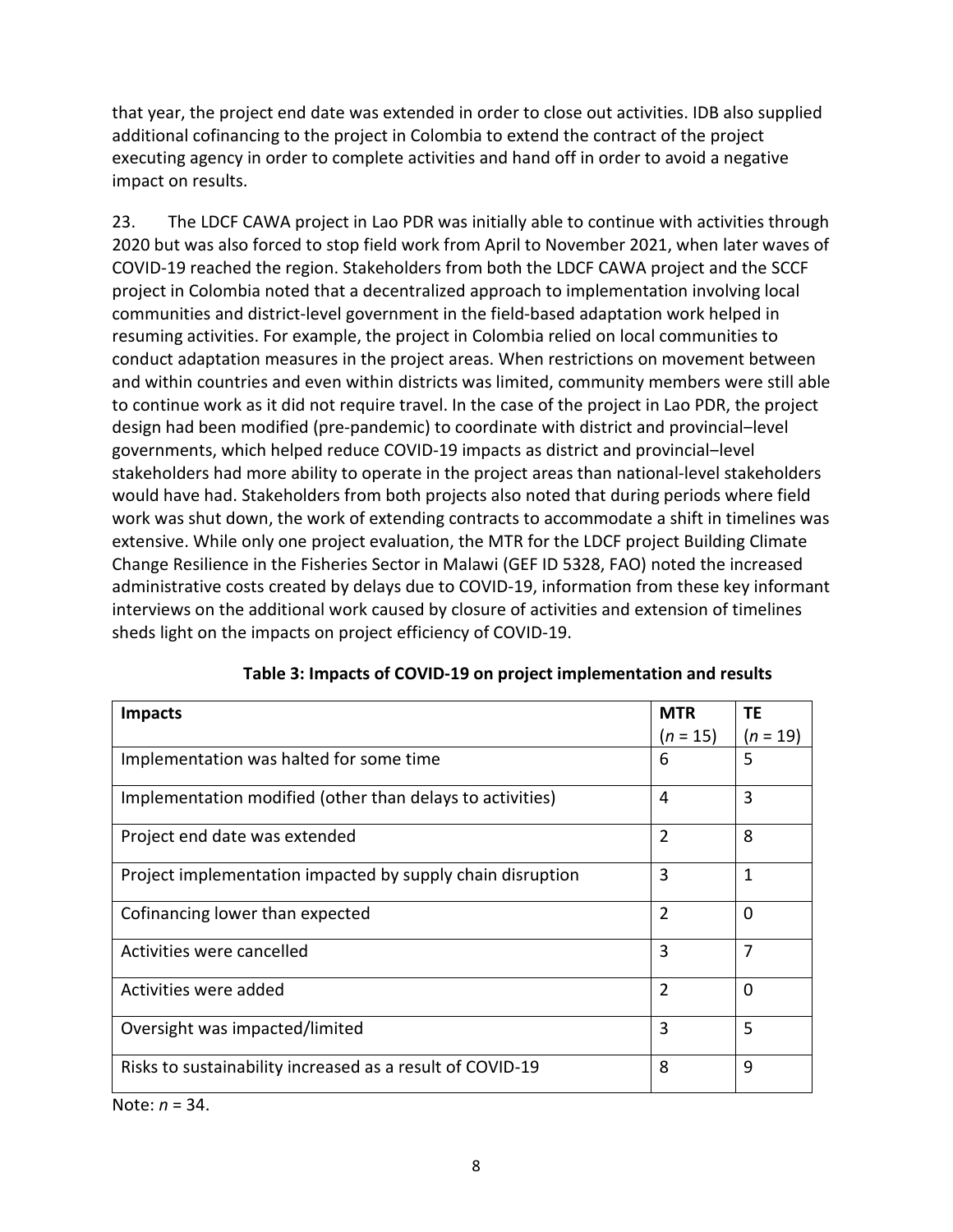that year, the project end date was extended in order to close out activities. IDB also supplied additional cofinancing to the project in Colombia to extend the contract of the project executing agency in order to complete activities and hand off in order to avoid a negative impact on results.

23. The LDCF CAWA project in Lao PDR was initially able to continue with activities through 2020 but was also forced to stop field work from April to November 2021, when later waves of COVID-19 reached the region. Stakeholders from both the LDCF CAWA project and the SCCF project in Colombia noted that a decentralized approach to implementation involving local communities and district-level government in the field-based adaptation work helped in resuming activities. For example, the project in Colombia relied on local communities to conduct adaptation measures in the project areas. When restrictions on movement between and within countries and even within districts was limited, community members were still able to continue work as it did not require travel. In the case of the project in Lao PDR, the project design had been modified (pre-pandemic) to coordinate with district and provincial-level governments, which helped reduce COVID-19 impacts as district and provincial-level stakeholders had more ability to operate in the project areas than national-level stakeholders would have had. Stakeholders from both projects also noted that during periods where field work was shut down, the work of extending contracts to accommodate a shift in timelines was extensive. While only one project evaluation, the MTR for the LDCF project Building Climate Change Resilience in the Fisheries Sector in Malawi (GEF ID 5328, FAO) noted the increased administrative costs created by delays due to COVID-19, information from these key informant interviews on the additional work caused by closure of activities and extension of timelines sheds light on the impacts on project efficiency of COVID-19.

| <b>Impacts</b>                                             | <b>MTR</b>     | ТE       |
|------------------------------------------------------------|----------------|----------|
|                                                            | $(n = 15)$     | (n = 19) |
| Implementation was halted for some time                    | 6              | 5        |
| Implementation modified (other than delays to activities)  | 4              | 3        |
| Project end date was extended                              | $\overline{2}$ | 8        |
| Project implementation impacted by supply chain disruption | 3              | 1        |
| Cofinancing lower than expected                            | $\overline{2}$ | $\Omega$ |
| Activities were cancelled                                  | 3              | 7        |
| Activities were added                                      | $\overline{2}$ | $\Omega$ |
| Oversight was impacted/limited                             | 3              | 5        |
| Risks to sustainability increased as a result of COVID-19  | 8              | 9        |

Note: *n* = 34.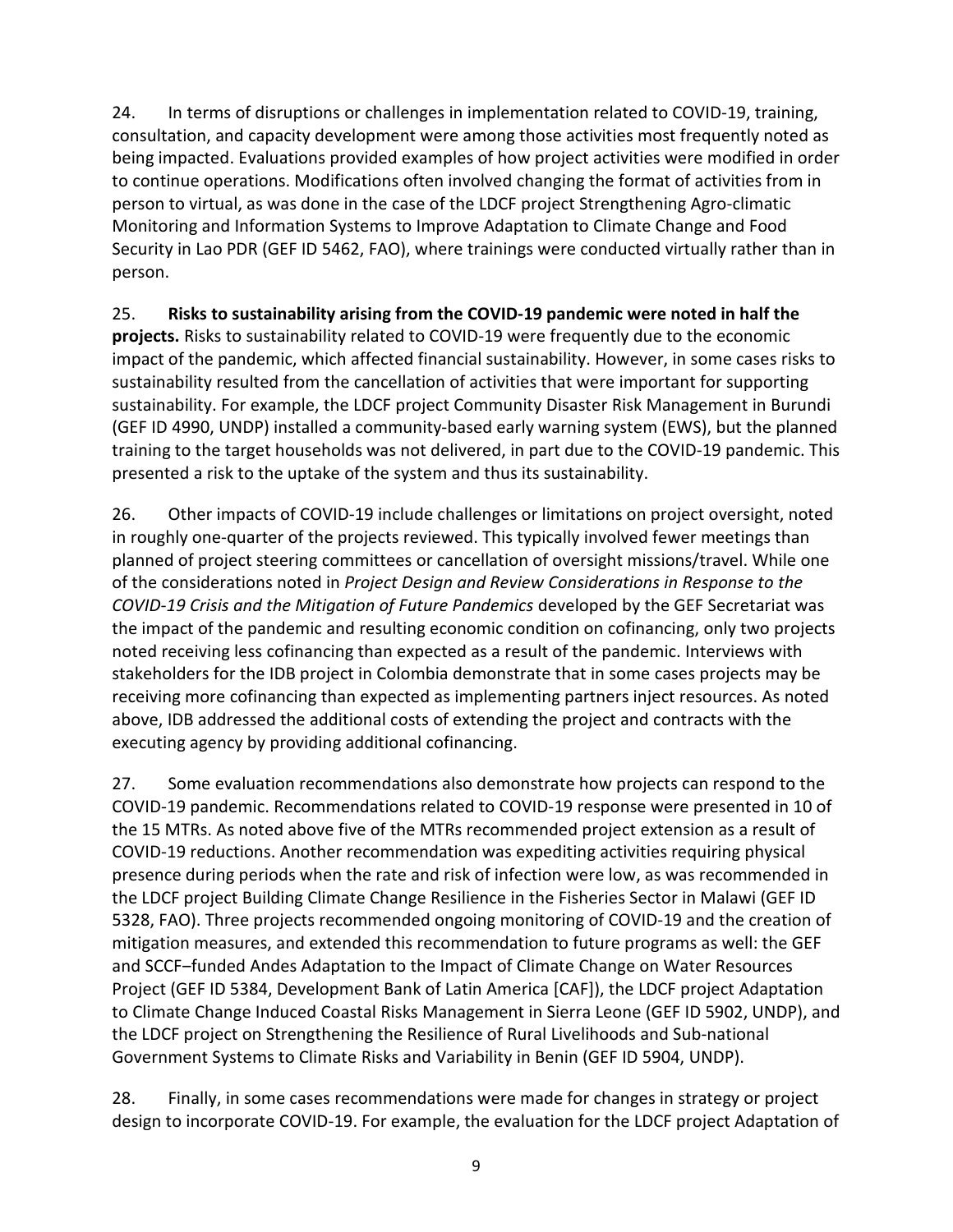24. In terms of disruptions or challenges in implementation related to COVID-19, training, consultation, and capacity development were among those activities most frequently noted as being impacted. Evaluations provided examples of how project activities were modified in order to continue operations. Modifications often involved changing the format of activities from in person to virtual, as was done in the case of the LDCF project Strengthening Agro-climatic Monitoring and Information Systems to Improve Adaptation to Climate Change and Food Security in Lao PDR (GEF ID 5462, FAO), where trainings were conducted virtually rather than in person.

25. **Risks to sustainability arising from the COVID-19 pandemic were noted in half the projects.** Risks to sustainability related to COVID-19 were frequently due to the economic impact of the pandemic, which affected financial sustainability. However, in some cases risks to sustainability resulted from the cancellation of activities that were important for supporting sustainability. For example, the LDCF project Community Disaster Risk Management in Burundi (GEF ID 4990, UNDP) installed a community-based early warning system (EWS), but the planned training to the target households was not delivered, in part due to the COVID-19 pandemic. This presented a risk to the uptake of the system and thus its sustainability.

26. Other impacts of COVID-19 include challenges or limitations on project oversight, noted in roughly one-quarter of the projects reviewed. This typically involved fewer meetings than planned of project steering committees or cancellation of oversight missions/travel. While one of the considerations noted in *Project Design and Review Considerations in Response to the COVID-19 Crisis and the Mitigation of Future Pandemics* developed by the GEF Secretariat was the impact of the pandemic and resulting economic condition on cofinancing, only two projects noted receiving less cofinancing than expected as a result of the pandemic. Interviews with stakeholders for the IDB project in Colombia demonstrate that in some cases projects may be receiving more cofinancing than expected as implementing partners inject resources. As noted above, IDB addressed the additional costs of extending the project and contracts with the executing agency by providing additional cofinancing.

27. Some evaluation recommendations also demonstrate how projects can respond to the COVID-19 pandemic. Recommendations related to COVID-19 response were presented in 10 of the 15 MTRs. As noted above five of the MTRs recommended project extension as a result of COVID-19 reductions. Another recommendation was expediting activities requiring physical presence during periods when the rate and risk of infection were low, as was recommended in the LDCF project Building Climate Change Resilience in the Fisheries Sector in Malawi (GEF ID 5328, FAO). Three projects recommended ongoing monitoring of COVID-19 and the creation of mitigation measures, and extended this recommendation to future programs as well: the GEF and SCCF-funded Andes Adaptation to the Impact of Climate Change on Water Resources Project (GEF ID 5384, Development Bank of Latin America [CAF]), the LDCF project Adaptation to Climate Change Induced Coastal Risks Management in Sierra Leone (GEF ID 5902, UNDP), and the LDCF project on Strengthening the Resilience of Rural Livelihoods and Sub-national Government Systems to Climate Risks and Variability in Benin (GEF ID 5904, UNDP).

28. Finally, in some cases recommendations were made for changes in strategy or project design to incorporate COVID-19. For example, the evaluation for the LDCF project Adaptation of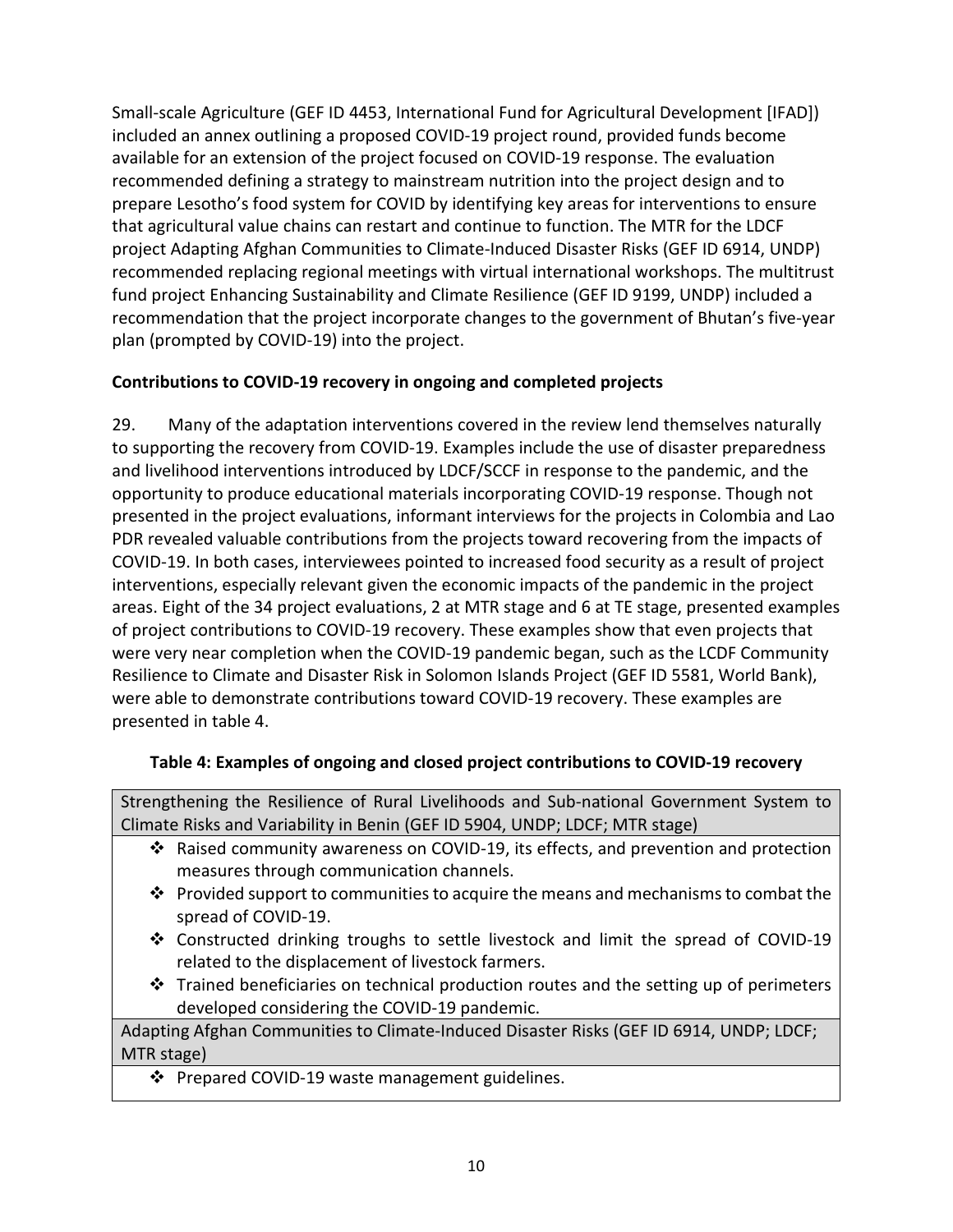Small-scale Agriculture (GEF ID 4453, International Fund for Agricultural Development [IFAD]) included an annex outlining a proposed COVID-19 project round, provided funds become available for an extension of the project focused on COVID-19 response. The evaluation recommended defining a strategy to mainstream nutrition into the project design and to prepare Lesotho's food system for COVID by identifying key areas for interventions to ensure that agricultural value chains can restart and continue to function. The MTR for the LDCF project Adapting Afghan Communities to Climate-Induced Disaster Risks (GEF ID 6914, UNDP) recommended replacing regional meetings with virtual international workshops. The multitrust fund project Enhancing Sustainability and Climate Resilience (GEF ID 9199, UNDP) included a recommendation that the project incorporate changes to the government of Bhutan's five-year plan (prompted by COVID-19) into the project.

# **Contributions to COVID-19 recovery in ongoing and completed projects**

29. Many of the adaptation interventions covered in the review lend themselves naturally to supporting the recovery from COVID-19. Examples include the use of disaster preparedness and livelihood interventions introduced by LDCF/SCCF in response to the pandemic, and the opportunity to produce educational materials incorporating COVID-19 response. Though not presented in the project evaluations, informant interviews for the projects in Colombia and Lao PDR revealed valuable contributions from the projects toward recovering from the impacts of COVID-19. In both cases, interviewees pointed to increased food security as a result of project interventions, especially relevant given the economic impacts of the pandemic in the project areas. Eight of the 34 project evaluations, 2 at MTR stage and 6 at TE stage, presented examples of project contributions to COVID-19 recovery. These examples show that even projects that were very near completion when the COVID-19 pandemic began, such as the LCDF Community Resilience to Climate and Disaster Risk in Solomon Islands Project (GEF ID 5581, World Bank), were able to demonstrate contributions toward COVID-19 recovery. These examples are presented in table 4.

### **Table 4: Examples of ongoing and closed project contributions to COVID-19 recovery**

Strengthening the Resilience of Rural Livelihoods and Sub-national Government System to Climate Risks and Variability in Benin (GEF ID 5904, UNDP; LDCF; MTR stage)

- Raised community awareness on COVID-19, its effects, and prevention and protection measures through communication channels.
- $\cdot$  Provided support to communities to acquire the means and mechanisms to combat the spread of COVID-19.
- $\triangle$  Constructed drinking troughs to settle livestock and limit the spread of COVID-19 related to the displacement of livestock farmers.
- $\cdot \cdot$  Trained beneficiaries on technical production routes and the setting up of perimeters developed considering the COVID-19 pandemic.

Adapting Afghan Communities to Climate-Induced Disaster Risks (GEF ID 6914, UNDP; LDCF; MTR stage)

❖ Prepared COVID-19 waste management guidelines.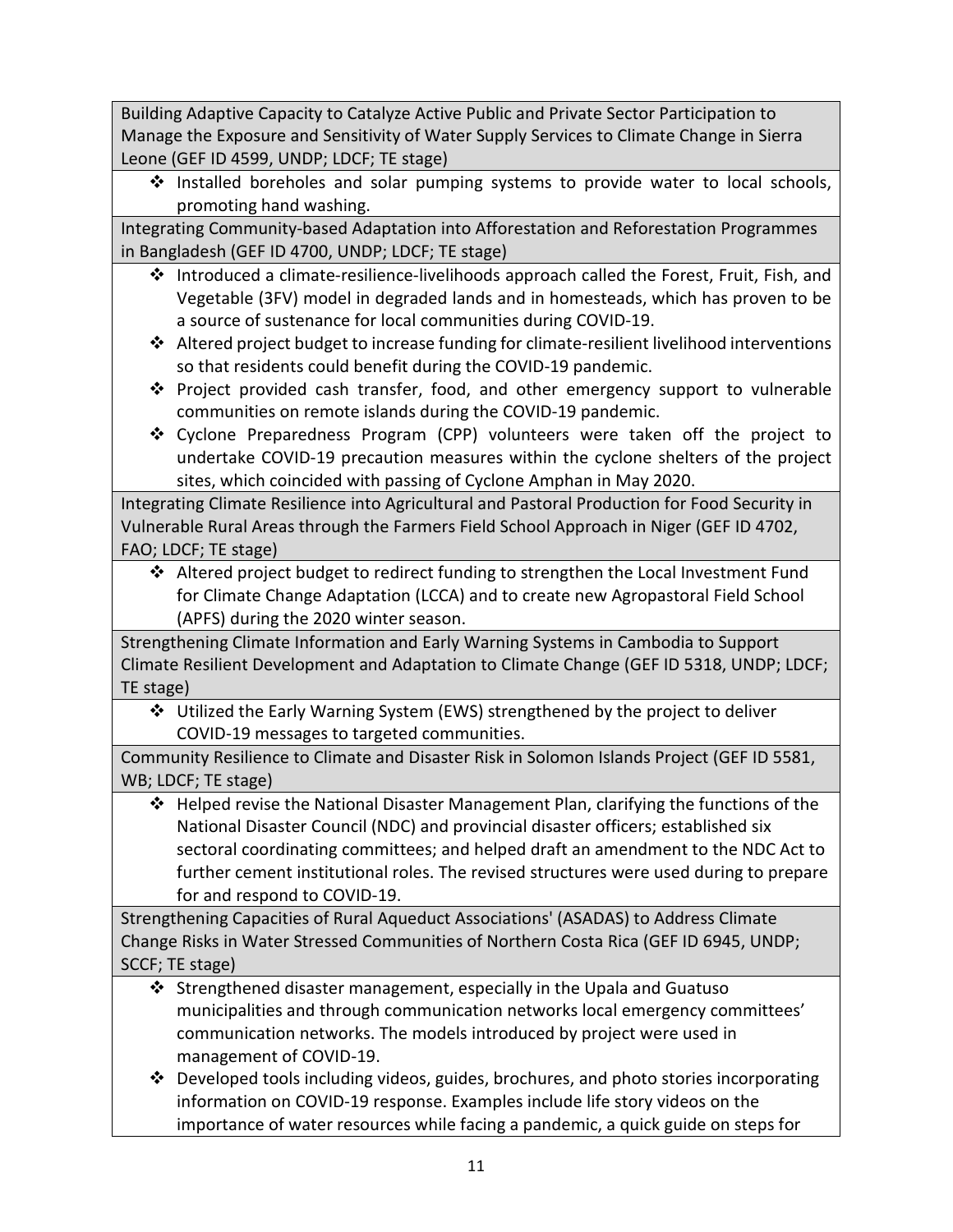Building Adaptive Capacity to Catalyze Active Public and Private Sector Participation to Manage the Exposure and Sensitivity of Water Supply Services to Climate Change in Sierra Leone (GEF ID 4599, UNDP; LDCF; TE stage)

❖ Installed boreholes and solar pumping systems to provide water to local schools, promoting hand washing.

Integrating Community-based Adaptation into Afforestation and Reforestation Programmes in Bangladesh (GEF ID 4700, UNDP; LDCF; TE stage)

- $\cdot \cdot$  Introduced a climate-resilience-livelihoods approach called the Forest, Fruit, Fish, and Vegetable (3FV) model in degraded lands and in homesteads, which has proven to be a source of sustenance for local communities during COVID-19.
- $\cdot$  Altered project budget to increase funding for climate-resilient livelihood interventions so that residents could benefit during the COVID-19 pandemic.
- $\div$  Project provided cash transfer, food, and other emergency support to vulnerable communities on remote islands during the COVID-19 pandemic.
- Cyclone Preparedness Program (CPP) volunteers were taken off the project to undertake COVID-19 precaution measures within the cyclone shelters of the project sites, which coincided with passing of Cyclone Amphan in May 2020.

Integrating Climate Resilience into Agricultural and Pastoral Production for Food Security in Vulnerable Rural Areas through the Farmers Field School Approach in Niger (GEF ID 4702, FAO; LDCF; TE stage)

 Altered project budget to redirect funding to strengthen the Local Investment Fund for Climate Change Adaptation (LCCA) and to create new Agropastoral Field School (APFS) during the 2020 winter season.

Strengthening Climate Information and Early Warning Systems in Cambodia to Support Climate Resilient Development and Adaptation to Climate Change (GEF ID 5318, UNDP; LDCF; TE stage)

 Utilized the Early Warning System (EWS) strengthened by the project to deliver COVID-19 messages to targeted communities.

Community Resilience to Climate and Disaster Risk in Solomon Islands Project (GEF ID 5581, WB; LDCF; TE stage)

 Helped revise the National Disaster Management Plan, clarifying the functions of the National Disaster Council (NDC) and provincial disaster officers; established six sectoral coordinating committees; and helped draft an amendment to the NDC Act to further cement institutional roles. The revised structures were used during to prepare for and respond to COVID-19.

Strengthening Capacities of Rural Aqueduct Associations' (ASADAS) to Address Climate Change Risks in Water Stressed Communities of Northern Costa Rica (GEF ID 6945, UNDP; SCCF; TE stage)

- $\cdot$  Strengthened disaster management, especially in the Upala and Guatuso municipalities and through communication networks local emergency committees' communication networks. The models introduced by project were used in management of COVID-19.
- $\cdot \cdot$  Developed tools including videos, guides, brochures, and photo stories incorporating information on COVID-19 response. Examples include life story videos on the importance of water resources while facing a pandemic, a quick guide on steps for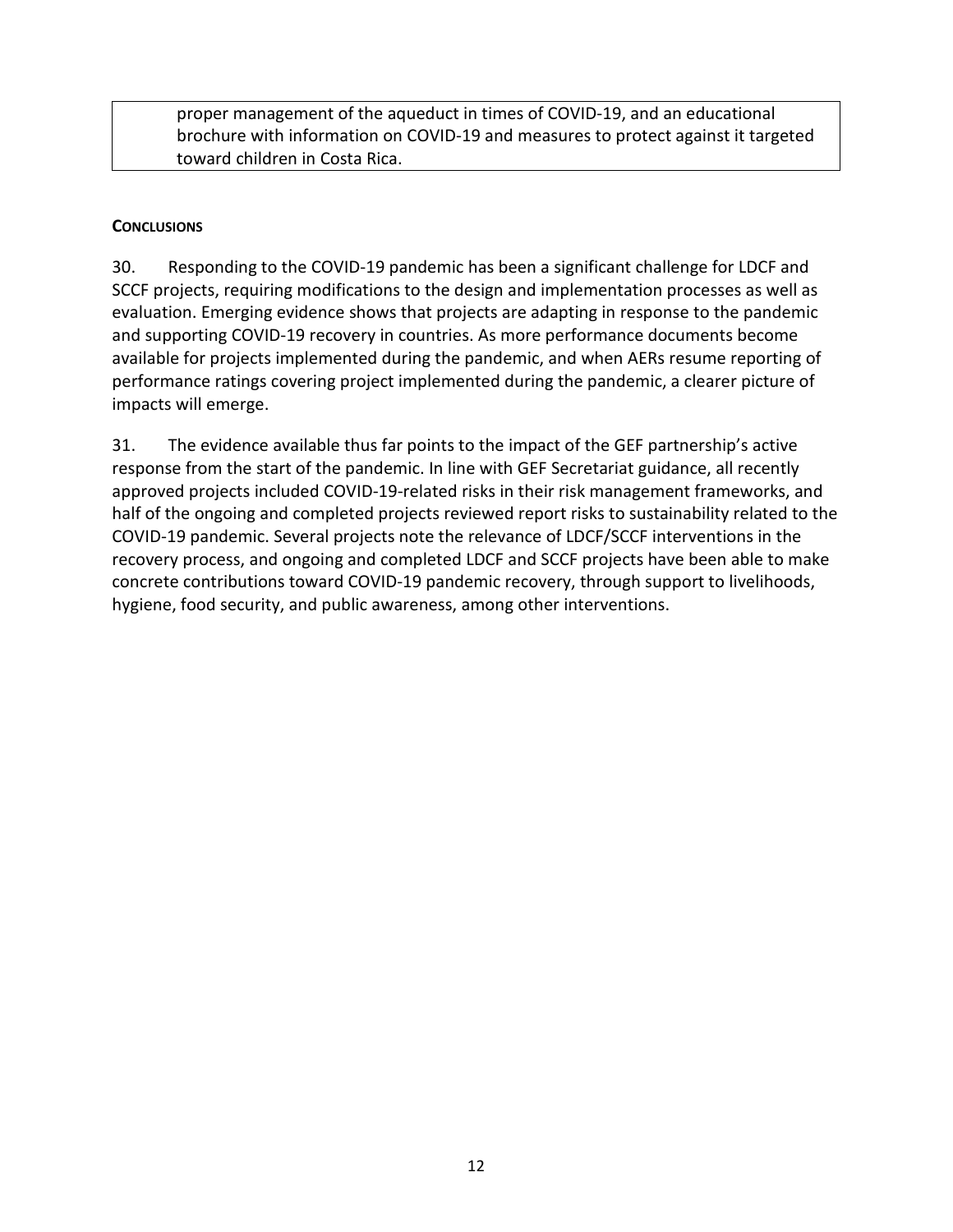proper management of the aqueduct in times of COVID-19, and an educational brochure with information on COVID-19 and measures to protect against it targeted toward children in Costa Rica.

### <span id="page-15-0"></span>**CONCLUSIONS**

30. Responding to the COVID-19 pandemic has been a significant challenge for LDCF and SCCF projects, requiring modifications to the design and implementation processes as well as evaluation. Emerging evidence shows that projects are adapting in response to the pandemic and supporting COVID-19 recovery in countries. As more performance documents become available for projects implemented during the pandemic, and when AERs resume reporting of performance ratings covering project implemented during the pandemic, a clearer picture of impacts will emerge.

31. The evidence available thus far points to the impact of the GEF partnership's active response from the start of the pandemic. In line with GEF Secretariat guidance, all recently approved projects included COVID-19-related risks in their risk management frameworks, and half of the ongoing and completed projects reviewed report risks to sustainability related to the COVID-19 pandemic. Several projects note the relevance of LDCF/SCCF interventions in the recovery process, and ongoing and completed LDCF and SCCF projects have been able to make concrete contributions toward COVID-19 pandemic recovery, through support to livelihoods, hygiene, food security, and public awareness, among other interventions.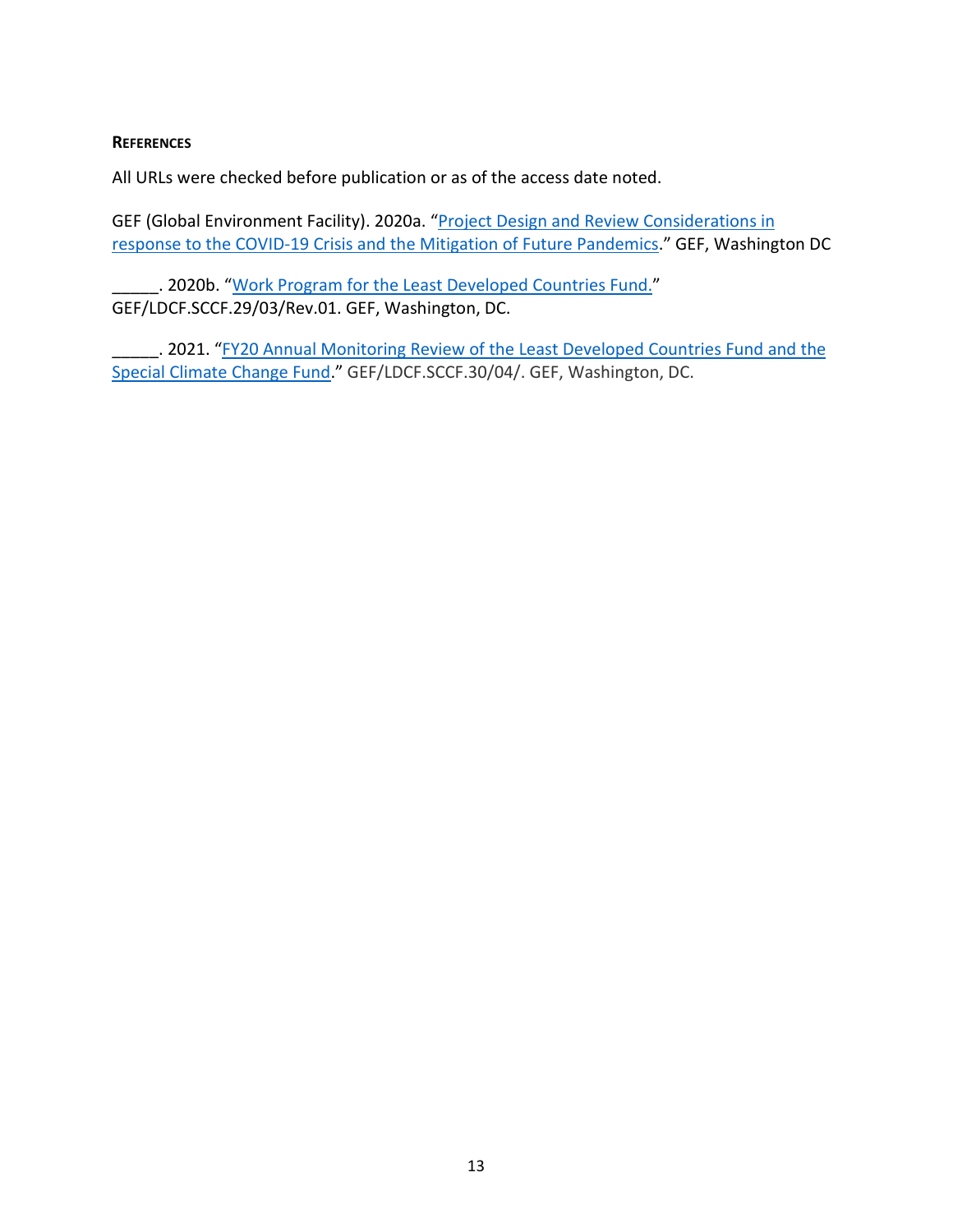#### <span id="page-16-0"></span>**REFERENCES**

All URLs were checked before publication or as of the access date noted.

GEF (Global Environment Facility). 2020a. ["Project Design and Review Considerations in](https://www.thegef.org/documents/project-design-and-review-considerations-response-covid-19-crisis-and-mitigation-future)  [response to the COVID-19 Crisis and the Mitigation of Future Pandemics.](https://www.thegef.org/documents/project-design-and-review-considerations-response-covid-19-crisis-and-mitigation-future)" GEF, Washington DC

. 2020b. ["Work Program for the Least Developed Countries Fund.](https://www.thegef.org/sites/default/files/council-meeting-documents/EN_GEF.LDCF_.SCCF_.29.03.Rev_.01_Work%20Program%20for%20the%20LDCF.pdf)" GEF/LDCF.SCCF.29/03/Rev.01. GEF, Washington, DC.

\_\_\_\_\_\_. 2021. "FY20 Annual Monitoring Review of the Least Developed Countries Fund and the [Special Climate Change Fund.](https://www.thegef.org/sites/default/files/council-meeting-documents/EN_GEF_LDCF.SCCF_.30_04_FY20%20Annual%20Monitoring%20Review%20of%20the%20Least%20Developed%20Countries%20Fund%20and%20the%20Special%20Climate%20Change%20Fund.pdf)" GEF/LDCF.SCCF.30/04/. GEF, Washington, DC.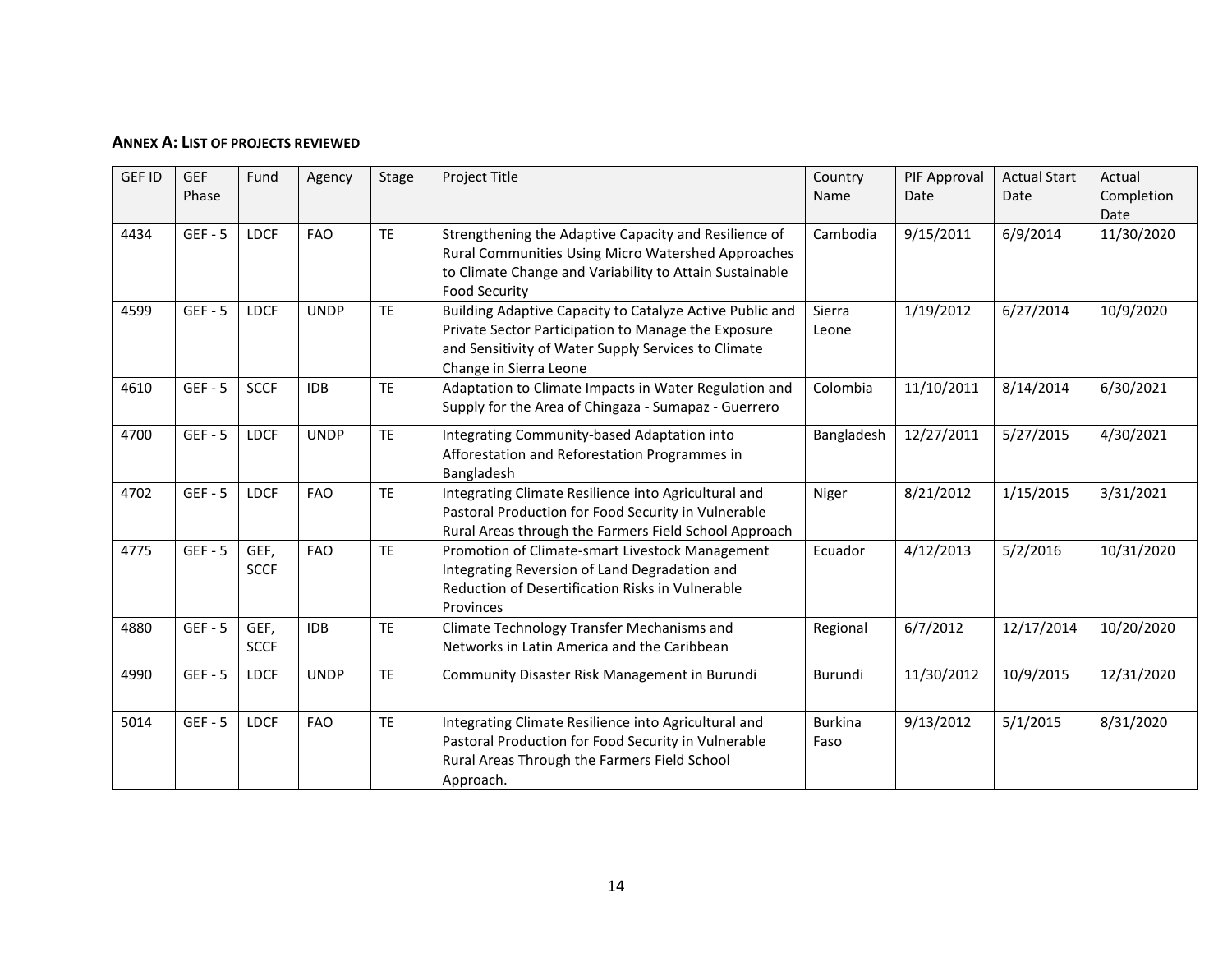#### **ANNEX A: LIST OF PROJECTS REVIEWED**

<span id="page-17-0"></span>

| <b>GEF ID</b> | <b>GEF</b><br>Phase | Fund                | Agency      | Stage     | Project Title                                                                                                                                                                                    | Country<br>Name        | PIF Approval<br>Date | <b>Actual Start</b><br>Date | Actual<br>Completion<br>Date |
|---------------|---------------------|---------------------|-------------|-----------|--------------------------------------------------------------------------------------------------------------------------------------------------------------------------------------------------|------------------------|----------------------|-----------------------------|------------------------------|
| 4434          | $GEF - 5$           | <b>LDCF</b>         | <b>FAO</b>  | <b>TE</b> | Strengthening the Adaptive Capacity and Resilience of<br>Rural Communities Using Micro Watershed Approaches<br>to Climate Change and Variability to Attain Sustainable<br><b>Food Security</b>   | Cambodia               | 9/15/2011            | 6/9/2014                    | 11/30/2020                   |
| 4599          | $GEF - 5$           | <b>LDCF</b>         | <b>UNDP</b> | <b>TE</b> | Building Adaptive Capacity to Catalyze Active Public and<br>Private Sector Participation to Manage the Exposure<br>and Sensitivity of Water Supply Services to Climate<br>Change in Sierra Leone | Sierra<br>Leone        | 1/19/2012            | 6/27/2014                   | 10/9/2020                    |
| 4610          | $GEF - 5$           | <b>SCCF</b>         | <b>IDB</b>  | <b>TE</b> | Adaptation to Climate Impacts in Water Regulation and<br>Supply for the Area of Chingaza - Sumapaz - Guerrero                                                                                    | Colombia               | 11/10/2011           | 8/14/2014                   | 6/30/2021                    |
| 4700          | $GEF - 5$           | <b>LDCF</b>         | <b>UNDP</b> | <b>TE</b> | Integrating Community-based Adaptation into<br>Afforestation and Reforestation Programmes in<br>Bangladesh                                                                                       | Bangladesh             | 12/27/2011           | 5/27/2015                   | 4/30/2021                    |
| 4702          | $GEF - 5$           | <b>LDCF</b>         | <b>FAO</b>  | <b>TE</b> | Integrating Climate Resilience into Agricultural and<br>Pastoral Production for Food Security in Vulnerable<br>Rural Areas through the Farmers Field School Approach                             | Niger                  | 8/21/2012            | 1/15/2015                   | 3/31/2021                    |
| 4775          | $GEF - 5$           | GEF,<br><b>SCCF</b> | <b>FAO</b>  | <b>TE</b> | Promotion of Climate-smart Livestock Management<br>Integrating Reversion of Land Degradation and<br>Reduction of Desertification Risks in Vulnerable<br>Provinces                                | Ecuador                | 4/12/2013            | 5/2/2016                    | 10/31/2020                   |
| 4880          | $GEF - 5$           | GEF,<br><b>SCCF</b> | <b>IDB</b>  | <b>TE</b> | Climate Technology Transfer Mechanisms and<br>Networks in Latin America and the Caribbean                                                                                                        | Regional               | 6/7/2012             | 12/17/2014                  | 10/20/2020                   |
| 4990          | $GEF - 5$           | <b>LDCF</b>         | <b>UNDP</b> | <b>TE</b> | Community Disaster Risk Management in Burundi                                                                                                                                                    | Burundi                | 11/30/2012           | 10/9/2015                   | 12/31/2020                   |
| 5014          | $GEF - 5$           | <b>LDCF</b>         | <b>FAO</b>  | <b>TE</b> | Integrating Climate Resilience into Agricultural and<br>Pastoral Production for Food Security in Vulnerable<br>Rural Areas Through the Farmers Field School<br>Approach.                         | <b>Burkina</b><br>Faso | 9/13/2012            | 5/1/2015                    | 8/31/2020                    |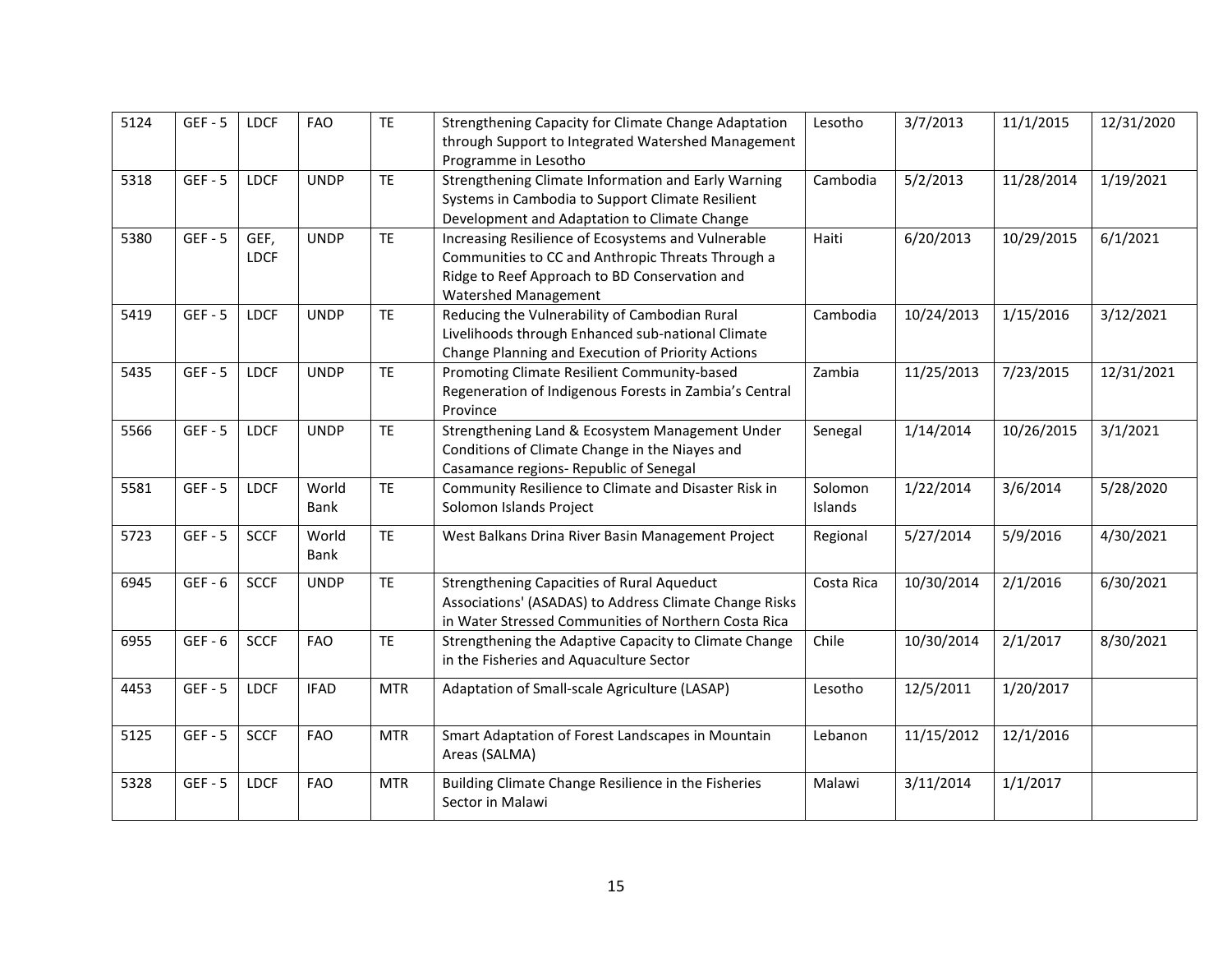| 5124 | $GEF - 5$ | <b>LDCF</b>         | <b>FAO</b>    | <b>TE</b>  | Strengthening Capacity for Climate Change Adaptation<br>through Support to Integrated Watershed Management<br>Programme in Lesotho                                               | Lesotho            | 3/7/2013   | 11/1/2015  | 12/31/2020 |
|------|-----------|---------------------|---------------|------------|----------------------------------------------------------------------------------------------------------------------------------------------------------------------------------|--------------------|------------|------------|------------|
| 5318 | $GEF - 5$ | <b>LDCF</b>         | <b>UNDP</b>   | <b>TE</b>  | Strengthening Climate Information and Early Warning<br>Systems in Cambodia to Support Climate Resilient<br>Development and Adaptation to Climate Change                          | Cambodia           | 5/2/2013   | 11/28/2014 | 1/19/2021  |
| 5380 | $GEF - 5$ | GEF,<br><b>LDCF</b> | <b>UNDP</b>   | <b>TE</b>  | Increasing Resilience of Ecosystems and Vulnerable<br>Communities to CC and Anthropic Threats Through a<br>Ridge to Reef Approach to BD Conservation and<br>Watershed Management | Haiti              | 6/20/2013  | 10/29/2015 | 6/1/2021   |
| 5419 | $GEF - 5$ | <b>LDCF</b>         | <b>UNDP</b>   | <b>TE</b>  | Reducing the Vulnerability of Cambodian Rural<br>Livelihoods through Enhanced sub-national Climate<br>Change Planning and Execution of Priority Actions                          | Cambodia           | 10/24/2013 | 1/15/2016  | 3/12/2021  |
| 5435 | $GEF - 5$ | <b>LDCF</b>         | <b>UNDP</b>   | <b>TE</b>  | Promoting Climate Resilient Community-based<br>Regeneration of Indigenous Forests in Zambia's Central<br>Province                                                                | Zambia             | 11/25/2013 | 7/23/2015  | 12/31/2021 |
| 5566 | $GEF - 5$ | <b>LDCF</b>         | <b>UNDP</b>   | <b>TE</b>  | Strengthening Land & Ecosystem Management Under<br>Conditions of Climate Change in the Niayes and<br>Casamance regions- Republic of Senegal                                      | Senegal            | 1/14/2014  | 10/26/2015 | 3/1/2021   |
| 5581 | $GEF - 5$ | <b>LDCF</b>         | World<br>Bank | <b>TE</b>  | Community Resilience to Climate and Disaster Risk in<br>Solomon Islands Project                                                                                                  | Solomon<br>Islands | 1/22/2014  | 3/6/2014   | 5/28/2020  |
| 5723 | $GEF - 5$ | <b>SCCF</b>         | World<br>Bank | <b>TE</b>  | West Balkans Drina River Basin Management Project                                                                                                                                | Regional           | 5/27/2014  | 5/9/2016   | 4/30/2021  |
| 6945 | $GEF - 6$ | <b>SCCF</b>         | <b>UNDP</b>   | <b>TE</b>  | Strengthening Capacities of Rural Aqueduct<br>Associations' (ASADAS) to Address Climate Change Risks<br>in Water Stressed Communities of Northern Costa Rica                     | Costa Rica         | 10/30/2014 | 2/1/2016   | 6/30/2021  |
| 6955 | $GEF - 6$ | <b>SCCF</b>         | <b>FAO</b>    | <b>TE</b>  | Strengthening the Adaptive Capacity to Climate Change<br>in the Fisheries and Aquaculture Sector                                                                                 | Chile              | 10/30/2014 | 2/1/2017   | 8/30/2021  |
| 4453 | $GEF - 5$ | <b>LDCF</b>         | <b>IFAD</b>   | <b>MTR</b> | Adaptation of Small-scale Agriculture (LASAP)                                                                                                                                    | Lesotho            | 12/5/2011  | 1/20/2017  |            |
| 5125 | $GEF - 5$ | <b>SCCF</b>         | <b>FAO</b>    | <b>MTR</b> | Smart Adaptation of Forest Landscapes in Mountain<br>Areas (SALMA)                                                                                                               | Lebanon            | 11/15/2012 | 12/1/2016  |            |
| 5328 | $GEF - 5$ | <b>LDCF</b>         | <b>FAO</b>    | <b>MTR</b> | Building Climate Change Resilience in the Fisheries<br>Sector in Malawi                                                                                                          | Malawi             | 3/11/2014  | 1/1/2017   |            |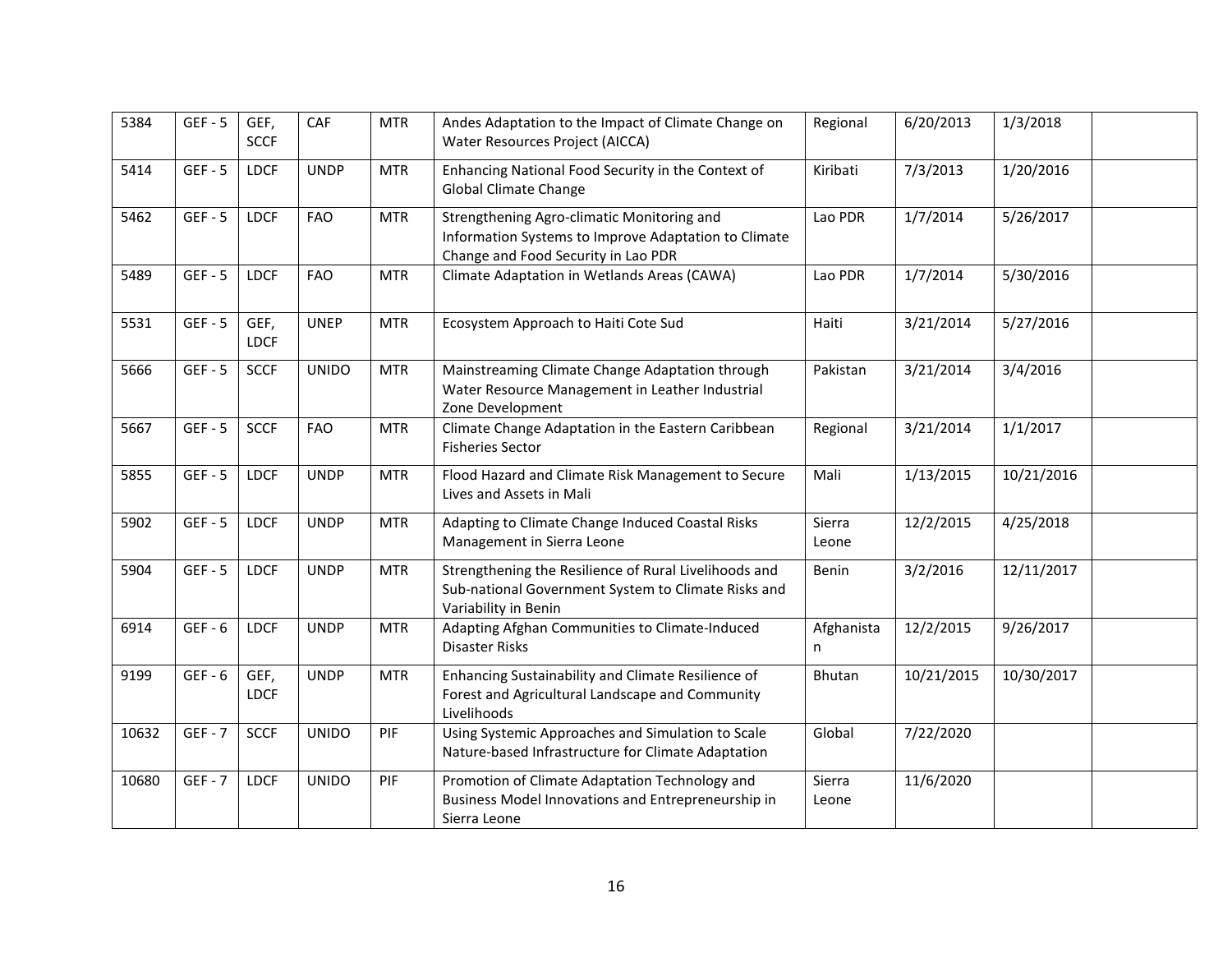| 5384  | $GEF - 5$ | GEF,<br><b>SCCF</b> | CAF          | <b>MTR</b> | Andes Adaptation to the Impact of Climate Change on<br>Water Resources Project (AICCA)                                                    | Regional        | 6/20/2013  | 1/3/2018   |  |
|-------|-----------|---------------------|--------------|------------|-------------------------------------------------------------------------------------------------------------------------------------------|-----------------|------------|------------|--|
| 5414  | $GEF - 5$ | <b>LDCF</b>         | <b>UNDP</b>  | <b>MTR</b> | Enhancing National Food Security in the Context of<br><b>Global Climate Change</b>                                                        | Kiribati        | 7/3/2013   | 1/20/2016  |  |
| 5462  | $GEF - 5$ | <b>LDCF</b>         | <b>FAO</b>   | <b>MTR</b> | Strengthening Agro-climatic Monitoring and<br>Information Systems to Improve Adaptation to Climate<br>Change and Food Security in Lao PDR | Lao PDR         | 1/7/2014   | 5/26/2017  |  |
| 5489  | $GEF - 5$ | <b>LDCF</b>         | <b>FAO</b>   | <b>MTR</b> | Climate Adaptation in Wetlands Areas (CAWA)                                                                                               | Lao PDR         | 1/7/2014   | 5/30/2016  |  |
| 5531  | $GEF - 5$ | GEF,<br><b>LDCF</b> | <b>UNEP</b>  | <b>MTR</b> | Ecosystem Approach to Haiti Cote Sud                                                                                                      | Haiti           | 3/21/2014  | 5/27/2016  |  |
| 5666  | $GEF - 5$ | <b>SCCF</b>         | <b>UNIDO</b> | <b>MTR</b> | Mainstreaming Climate Change Adaptation through<br>Water Resource Management in Leather Industrial<br>Zone Development                    | Pakistan        | 3/21/2014  | 3/4/2016   |  |
| 5667  | $GEF - 5$ | <b>SCCF</b>         | <b>FAO</b>   | <b>MTR</b> | Climate Change Adaptation in the Eastern Caribbean<br><b>Fisheries Sector</b>                                                             | Regional        | 3/21/2014  | 1/1/2017   |  |
| 5855  | $GEF - 5$ | <b>LDCF</b>         | <b>UNDP</b>  | <b>MTR</b> | Flood Hazard and Climate Risk Management to Secure<br>Lives and Assets in Mali                                                            | Mali            | 1/13/2015  | 10/21/2016 |  |
| 5902  | $GEF - 5$ | <b>LDCF</b>         | <b>UNDP</b>  | <b>MTR</b> | Adapting to Climate Change Induced Coastal Risks<br>Management in Sierra Leone                                                            | Sierra<br>Leone | 12/2/2015  | 4/25/2018  |  |
| 5904  | $GEF - 5$ | <b>LDCF</b>         | <b>UNDP</b>  | <b>MTR</b> | Strengthening the Resilience of Rural Livelihoods and<br>Sub-national Government System to Climate Risks and<br>Variability in Benin      | Benin           | 3/2/2016   | 12/11/2017 |  |
| 6914  | $GEF - 6$ | <b>LDCF</b>         | <b>UNDP</b>  | <b>MTR</b> | Adapting Afghan Communities to Climate-Induced<br>Disaster Risks                                                                          | Afghanista<br>n | 12/2/2015  | 9/26/2017  |  |
| 9199  | $GEF - 6$ | GEF,<br><b>LDCF</b> | <b>UNDP</b>  | <b>MTR</b> | Enhancing Sustainability and Climate Resilience of<br>Forest and Agricultural Landscape and Community<br>Livelihoods                      | Bhutan          | 10/21/2015 | 10/30/2017 |  |
| 10632 | $GEF - 7$ | <b>SCCF</b>         | <b>UNIDO</b> | PIF        | Using Systemic Approaches and Simulation to Scale<br>Nature-based Infrastructure for Climate Adaptation                                   | Global          | 7/22/2020  |            |  |
| 10680 | $GEF - 7$ | <b>LDCF</b>         | <b>UNIDO</b> | PIF        | Promotion of Climate Adaptation Technology and<br>Business Model Innovations and Entrepreneurship in<br>Sierra Leone                      | Sierra<br>Leone | 11/6/2020  |            |  |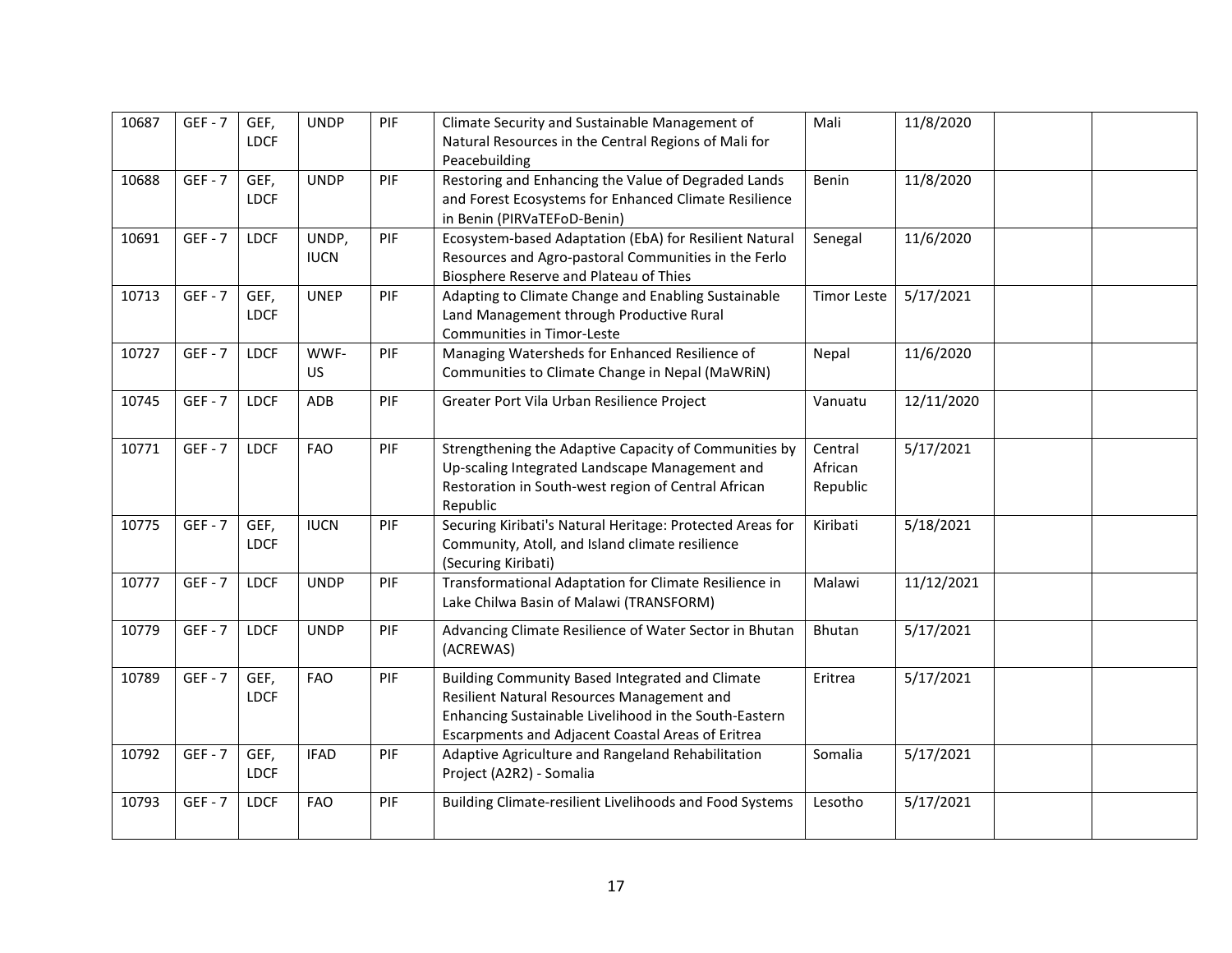| 10687 | $GEF - 7$ | GEF,<br><b>LDCF</b> | <b>UNDP</b>          | PIF | Climate Security and Sustainable Management of<br>Natural Resources in the Central Regions of Mali for<br>Peacebuilding                                                                                     | Mali                           | 11/8/2020  |  |
|-------|-----------|---------------------|----------------------|-----|-------------------------------------------------------------------------------------------------------------------------------------------------------------------------------------------------------------|--------------------------------|------------|--|
| 10688 | $GEF - 7$ | GEF,<br><b>LDCF</b> | <b>UNDP</b>          | PIF | Restoring and Enhancing the Value of Degraded Lands<br>and Forest Ecosystems for Enhanced Climate Resilience<br>in Benin (PIRVaTEFoD-Benin)                                                                 | Benin                          | 11/8/2020  |  |
| 10691 | $GEF - 7$ | <b>LDCF</b>         | UNDP,<br><b>IUCN</b> | PIF | Ecosystem-based Adaptation (EbA) for Resilient Natural<br>Resources and Agro-pastoral Communities in the Ferlo<br>Biosphere Reserve and Plateau of Thies                                                    | Senegal                        | 11/6/2020  |  |
| 10713 | $GEF - 7$ | GEF,<br><b>LDCF</b> | <b>UNEP</b>          | PIF | Adapting to Climate Change and Enabling Sustainable<br>Land Management through Productive Rural<br>Communities in Timor-Leste                                                                               | <b>Timor Leste</b>             | 5/17/2021  |  |
| 10727 | $GEF - 7$ | <b>LDCF</b>         | WWF-<br><b>US</b>    | PIF | Managing Watersheds for Enhanced Resilience of<br>Communities to Climate Change in Nepal (MaWRiN)                                                                                                           | Nepal                          | 11/6/2020  |  |
| 10745 | $GEF - 7$ | <b>LDCF</b>         | ADB                  | PIF | Greater Port Vila Urban Resilience Project                                                                                                                                                                  | Vanuatu                        | 12/11/2020 |  |
| 10771 | $GEF - 7$ | <b>LDCF</b>         | <b>FAO</b>           | PIF | Strengthening the Adaptive Capacity of Communities by<br>Up-scaling Integrated Landscape Management and<br>Restoration in South-west region of Central African<br>Republic                                  | Central<br>African<br>Republic | 5/17/2021  |  |
| 10775 | $GEF - 7$ | GEF,<br><b>LDCF</b> | <b>IUCN</b>          | PIF | Securing Kiribati's Natural Heritage: Protected Areas for<br>Community, Atoll, and Island climate resilience<br>(Securing Kiribati)                                                                         | Kiribati                       | 5/18/2021  |  |
| 10777 | $GEF - 7$ | <b>LDCF</b>         | <b>UNDP</b>          | PIF | Transformational Adaptation for Climate Resilience in<br>Lake Chilwa Basin of Malawi (TRANSFORM)                                                                                                            | Malawi                         | 11/12/2021 |  |
| 10779 | $GEF - 7$ | <b>LDCF</b>         | <b>UNDP</b>          | PIF | Advancing Climate Resilience of Water Sector in Bhutan<br>(ACREWAS)                                                                                                                                         | Bhutan                         | 5/17/2021  |  |
| 10789 | $GEF - 7$ | GEF,<br><b>LDCF</b> | <b>FAO</b>           | PIF | Building Community Based Integrated and Climate<br>Resilient Natural Resources Management and<br>Enhancing Sustainable Livelihood in the South-Eastern<br>Escarpments and Adjacent Coastal Areas of Eritrea | Eritrea                        | 5/17/2021  |  |
| 10792 | $GEF - 7$ | GEF,<br><b>LDCF</b> | <b>IFAD</b>          | PIF | Adaptive Agriculture and Rangeland Rehabilitation<br>Project (A2R2) - Somalia                                                                                                                               | Somalia                        | 5/17/2021  |  |
| 10793 | $GEF - 7$ | <b>LDCF</b>         | <b>FAO</b>           | PIF | Building Climate-resilient Livelihoods and Food Systems                                                                                                                                                     | Lesotho                        | 5/17/2021  |  |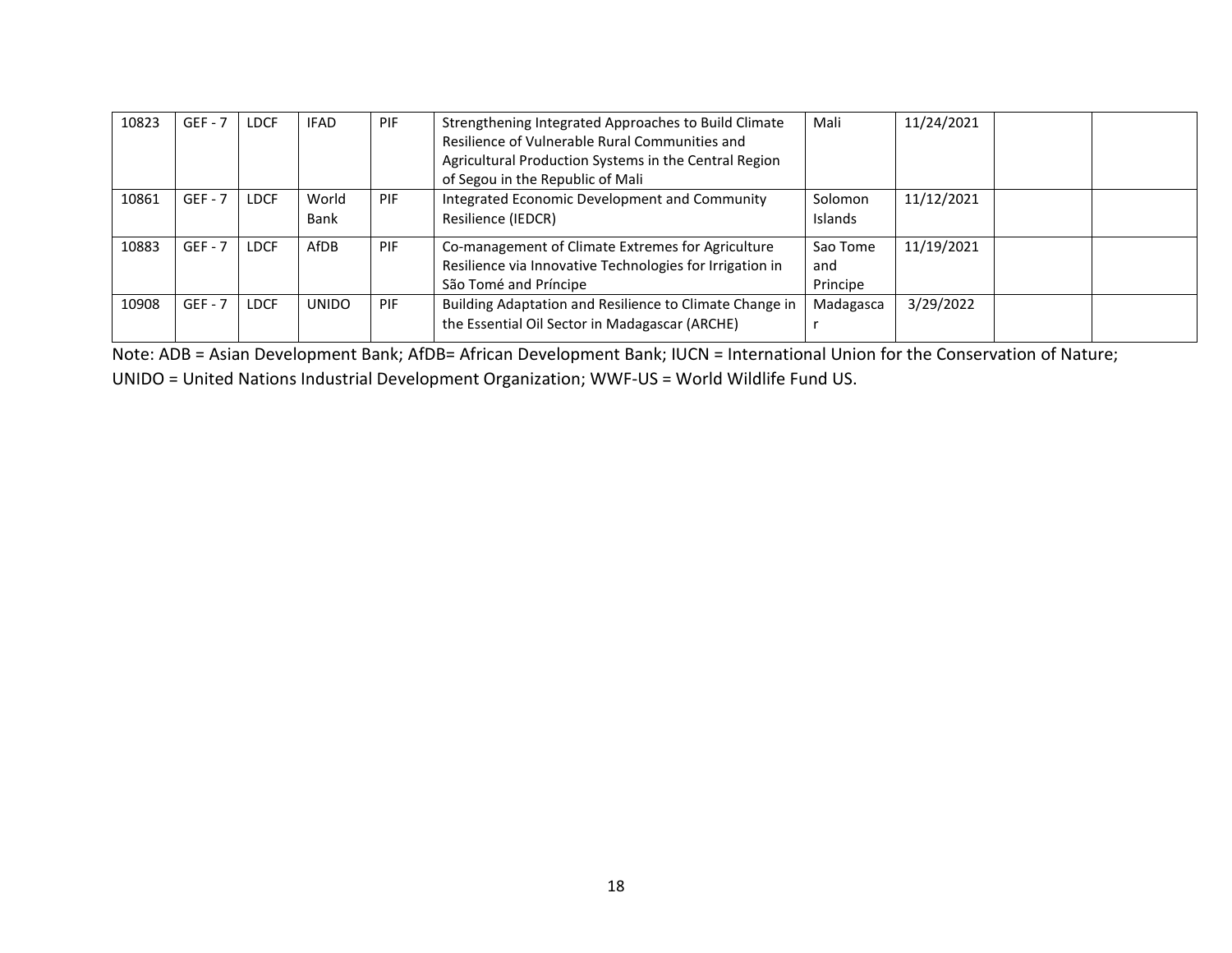| 10823 | $GEF - 7$ | LDCF | <b>IFAD</b>   | PIF        | Strengthening Integrated Approaches to Build Climate<br>Resilience of Vulnerable Rural Communities and<br>Agricultural Production Systems in the Central Region<br>of Segou in the Republic of Mali | Mali                        | 11/24/2021 |  |
|-------|-----------|------|---------------|------------|-----------------------------------------------------------------------------------------------------------------------------------------------------------------------------------------------------|-----------------------------|------------|--|
| 10861 | $GEF - 7$ | LDCF | World<br>Bank | PIF        | Integrated Economic Development and Community<br>Resilience (IEDCR)                                                                                                                                 | Solomon<br>Islands          | 11/12/2021 |  |
| 10883 | $GEF - 7$ | LDCF | AfDB          | PIF        | Co-management of Climate Extremes for Agriculture<br>Resilience via Innovative Technologies for Irrigation in<br>São Tomé and Príncipe                                                              | Sao Tome<br>and<br>Principe | 11/19/2021 |  |
| 10908 | $GEF - 7$ | LDCF | <b>UNIDO</b>  | <b>PIF</b> | Building Adaptation and Resilience to Climate Change in<br>the Essential Oil Sector in Madagascar (ARCHE)                                                                                           | Madagasca                   | 3/29/2022  |  |

Note: ADB = Asian Development Bank; AfDB= African Development Bank; IUCN = International Union for the Conservation of Nature; UNIDO = United Nations Industrial Development Organization; WWF-US = World Wildlife Fund US.